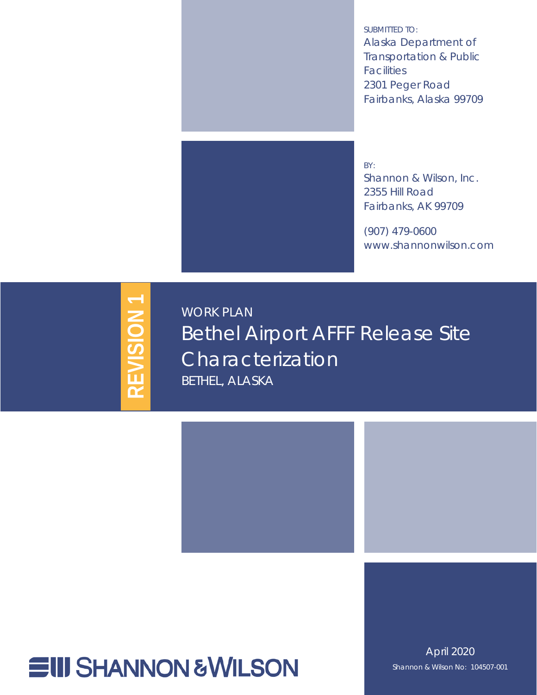<span id="page-0-6"></span><span id="page-0-5"></span><span id="page-0-4"></span>SUBMITTED TO: Alaska Department of Transportation & Public **Facilities** 2301 Peger Road Fairbanks, Alaska 99709



BY: Shannon & Wilson, Inc. 2355 Hill Road Fairbanks, AK 99709

(907) 479-0600 www.shannonwilson.com

# <span id="page-0-1"></span>**REVISION 1 REVISION 1**

<span id="page-0-7"></span><span id="page-0-2"></span><span id="page-0-0"></span>WORK PLAN Bethel Airport AFFF Release Site Characterization BETHEL, ALASKA



<span id="page-0-3"></span>April 2020 Shannon & Wilson No: 104507-001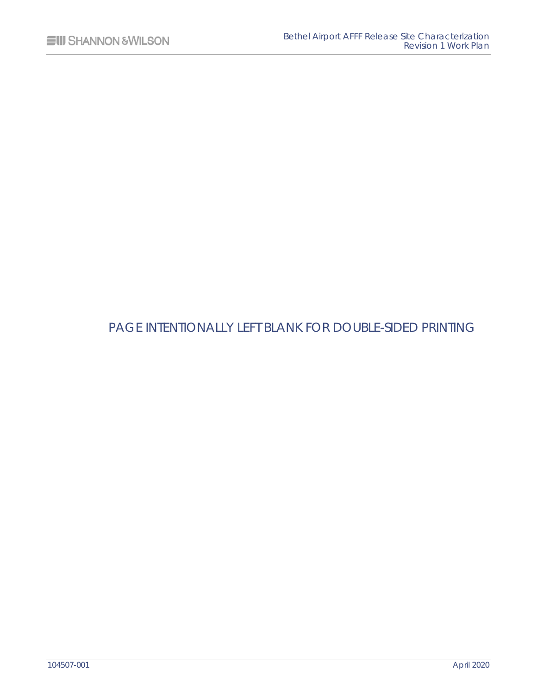## PAGE INTENTIONALLY LEFT BLANK FOR DOUBLE-SIDED PRINTING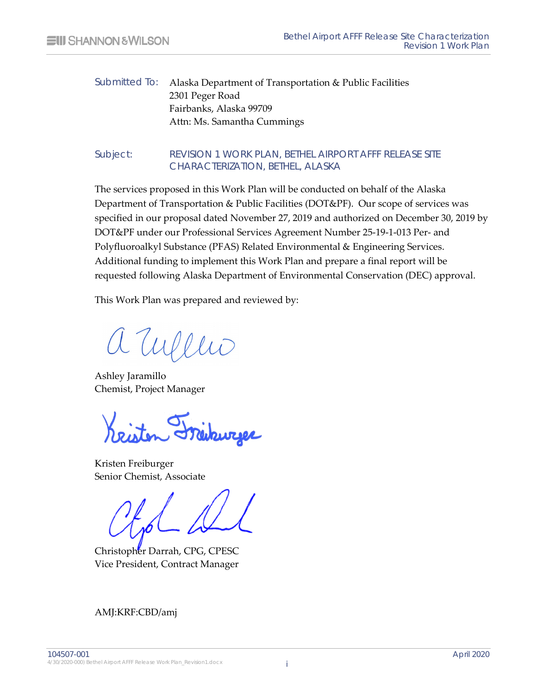#### Submitted To: [Alaska Department of Transportation & Public Facilities](#page-0-4) [2301 Peger Road](#page-0-5) [Fairbanks, Alaska 99709](#page-0-6) Attn: Ms. Samantha Cummings

#### Subject: [REVISION 1](#page-0-1) [WORK PLAN,](#page-0-2) [BETHEL AIRPORT AFFF RELEASE SITE](#page-0-0)  [CHARACTERIZATION,](#page-0-0) [BETHEL, ALASKA](#page-0-7)

The services proposed in this Work Plan will be conducted on behalf of the Alaska Department of Transportation & Public Facilities (DOT&PF). Our scope of services was specified in our proposal dated November 27, 2019 and authorized on December 30, 2019 by DOT&PF under our Professional Services Agreement Number 25-19-1-013 Per- and Polyfluoroalkyl Substance (PFAS) Related Environmental & Engineering Services. Additional funding to implement this Work Plan and prepare a final report will be requested following Alaska Department of Environmental Conservation (DEC) approval.

This Work Plan was prepared and reviewed by:

aryens

Ashley Jaramillo Chemist, Project Manager

Kristen Freiburger Senior Chemist, Associate

Christopher Darrah, CPG, CPESC Vice President, Contract Manager

AMJ:KRF:CBD/amj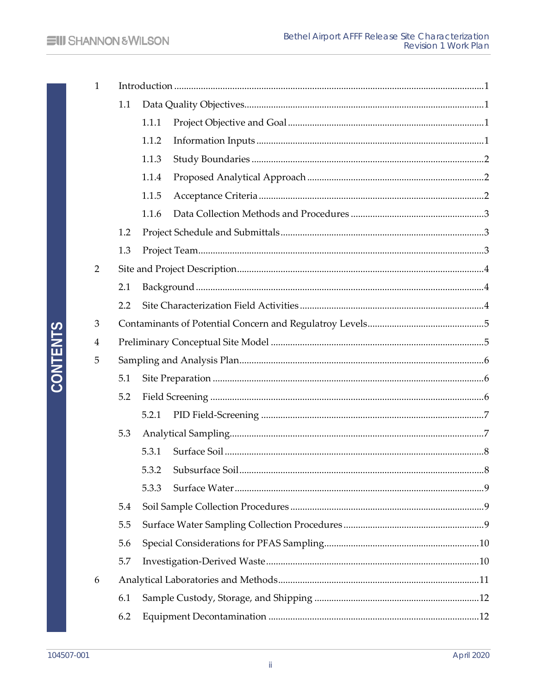| $\mathbf{1}$   |     |       |  |  |  |  |
|----------------|-----|-------|--|--|--|--|
|                | 1.1 |       |  |  |  |  |
|                |     | 1.1.1 |  |  |  |  |
|                |     | 1.1.2 |  |  |  |  |
|                |     | 1.1.3 |  |  |  |  |
|                |     | 1.1.4 |  |  |  |  |
|                |     | 1.1.5 |  |  |  |  |
|                |     | 1.1.6 |  |  |  |  |
|                | 1.2 |       |  |  |  |  |
|                | 1.3 |       |  |  |  |  |
| $\overline{2}$ |     |       |  |  |  |  |
|                | 2.1 |       |  |  |  |  |
|                | 2.2 |       |  |  |  |  |
| 3              |     |       |  |  |  |  |
| 4              |     |       |  |  |  |  |
| 5              |     |       |  |  |  |  |
|                | 5.1 |       |  |  |  |  |
|                | 5.2 |       |  |  |  |  |
|                |     | 5.2.1 |  |  |  |  |
|                | 5.3 |       |  |  |  |  |
|                |     | 5.3.1 |  |  |  |  |
|                |     |       |  |  |  |  |
|                |     | 5.3.3 |  |  |  |  |
|                | 5.4 |       |  |  |  |  |
|                | 5.5 |       |  |  |  |  |
|                | 5.6 |       |  |  |  |  |
|                | 5.7 |       |  |  |  |  |
| 6              |     |       |  |  |  |  |
|                | 6.1 |       |  |  |  |  |
|                | 6.2 |       |  |  |  |  |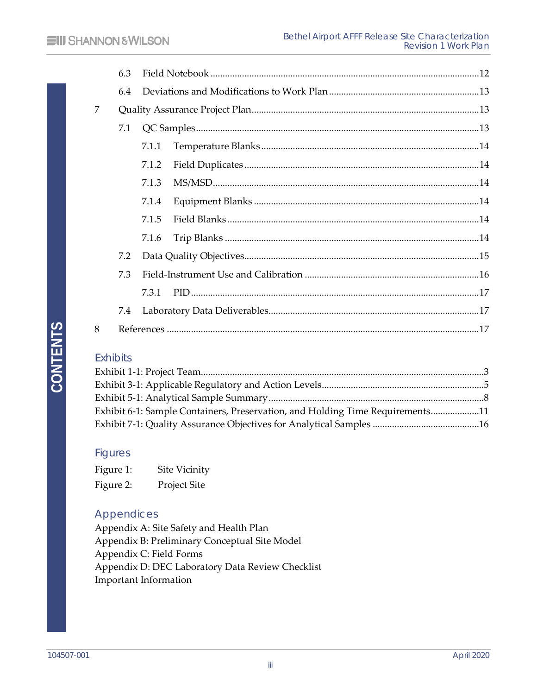|   | 6.3 |       |  |  |  |  |  |  |
|---|-----|-------|--|--|--|--|--|--|
|   | 6.4 |       |  |  |  |  |  |  |
| 7 |     |       |  |  |  |  |  |  |
|   | 7.1 |       |  |  |  |  |  |  |
|   |     | 7.1.1 |  |  |  |  |  |  |
|   |     | 7.1.2 |  |  |  |  |  |  |
|   |     | 7.1.3 |  |  |  |  |  |  |
|   |     | 7.1.4 |  |  |  |  |  |  |
|   |     | 7.1.5 |  |  |  |  |  |  |
|   |     | 7.1.6 |  |  |  |  |  |  |
|   | 7.2 |       |  |  |  |  |  |  |
|   | 7.3 |       |  |  |  |  |  |  |
|   |     | 7.3.1 |  |  |  |  |  |  |
|   | 7.4 |       |  |  |  |  |  |  |
| 8 |     |       |  |  |  |  |  |  |

#### **Exhibits**

| Exhibit 6-1: Sample Containers, Preservation, and Holding Time Requirements11 |  |
|-------------------------------------------------------------------------------|--|
|                                                                               |  |

#### **Figures**

| Figure 1: | Site Vicinity       |
|-----------|---------------------|
| Figure 2: | <b>Project Site</b> |

#### Appendices

[Appendix A: Site Safety and Health Plan](#page-24-0) Appendix B: Preliminary Conceptual Site Model Appendix C: Field Forms Appendix D: DEC Laboratory Data Review Checklist Important Information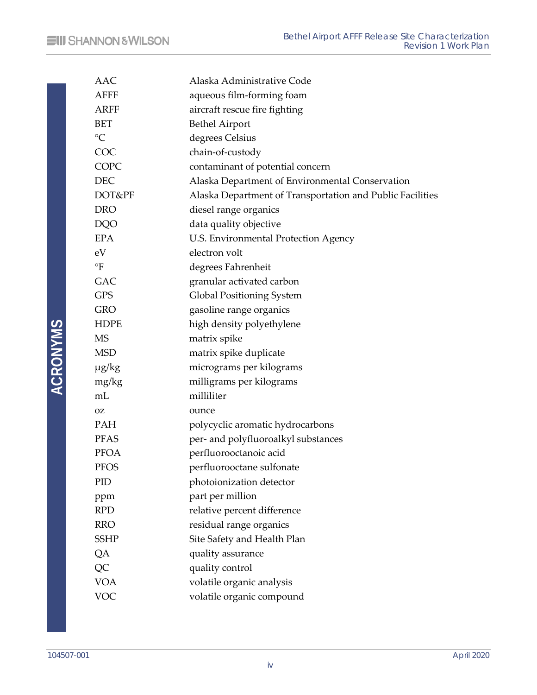| AAC             | Alaska Administrative Code                                |
|-----------------|-----------------------------------------------------------|
| <b>AFFF</b>     | aqueous film-forming foam                                 |
| <b>ARFF</b>     | aircraft rescue fire fighting                             |
| <b>BET</b>      | <b>Bethel Airport</b>                                     |
| $\rm ^{\circ}C$ | degrees Celsius                                           |
| COC             | chain-of-custody                                          |
| COPC            | contaminant of potential concern                          |
| <b>DEC</b>      | Alaska Department of Environmental Conservation           |
| DOT&PF          | Alaska Department of Transportation and Public Facilities |
| <b>DRO</b>      | diesel range organics                                     |
| <b>DQO</b>      | data quality objective                                    |
| <b>EPA</b>      | U.S. Environmental Protection Agency                      |
| eV              | electron volt                                             |
| $\circ$ F       | degrees Fahrenheit                                        |
| <b>GAC</b>      | granular activated carbon                                 |
| <b>GPS</b>      | Global Positioning System                                 |
| <b>GRO</b>      | gasoline range organics                                   |
| <b>HDPE</b>     | high density polyethylene                                 |
| <b>MS</b>       | matrix spike                                              |
| <b>MSD</b>      | matrix spike duplicate                                    |
| $\mu$ g/kg      | micrograms per kilograms                                  |
| mg/kg           | milligrams per kilograms                                  |
| mL              | milliliter                                                |
| <b>OZ</b>       | ounce                                                     |
| <b>PAH</b>      | polycyclic aromatic hydrocarbons                          |
| <b>PFAS</b>     | per- and polyfluoroalkyl substances                       |
| <b>PFOA</b>     | perfluorooctanoic acid                                    |
| PFOS            | perfluorooctane sulfonate                                 |
| PID             | photoionization detector                                  |
| ppm             | part per million                                          |
| <b>RPD</b>      | relative percent difference                               |
| <b>RRO</b>      | residual range organics                                   |
| <b>SSHP</b>     | Site Safety and Health Plan                               |
| QA              | quality assurance                                         |
| QC              | quality control                                           |
| <b>VOA</b>      | volatile organic analysis                                 |
| <b>VOC</b>      | volatile organic compound                                 |

ACRONYMS **ACRONYMS**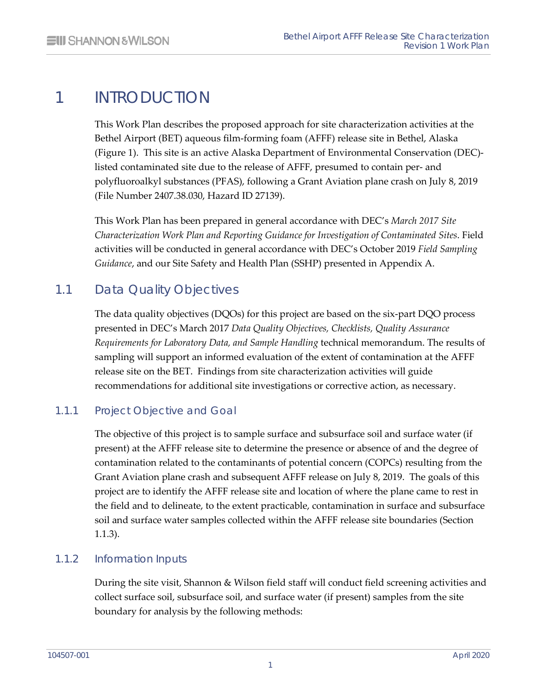# <span id="page-6-0"></span>1 INTRODUCTION

This Work Plan describes the proposed approach for site characterization activities at the Bethel Airport (BET) aqueous film-forming foam (AFFF) release site in Bethel, Alaska (Figure 1). This site is an active Alaska Department of Environmental Conservation (DEC) listed contaminated site due to the release of AFFF, presumed to contain per- and polyfluoroalkyl substances (PFAS), following a Grant Aviation plane crash on July 8, 2019 (File Number 2407.38.030, Hazard ID 27139).

This Work Plan has been prepared in general accordance with DEC's *March 2017 Site Characterization Work Plan and Reporting Guidance for Investigation of Contaminated Sites*. Field activities will be conducted in general accordance with DEC's October 2019 *Field Sampling Guidance*, and our Site Safety and Health Plan (SSHP) presented in Appendix A.

## 1.1 Data Quality Objectives

<span id="page-6-1"></span>The data quality objectives (DQOs) for this project are based on the six-part DQO process presented in DEC's March 2017 *Data Quality Objectives, Checklists, Quality Assurance Requirements for Laboratory Data, and Sample Handling* technical memorandum. The results of sampling will support an informed evaluation of the extent of contamination at the AFFF release site on the BET. Findings from site characterization activities will guide recommendations for additional site investigations or corrective action, as necessary.

#### 1.1.1 Project Objective and Goal

<span id="page-6-2"></span>The objective of this project is to sample surface and subsurface soil and surface water (if present) at the AFFF release site to determine the presence or absence of and the degree of contamination related to the contaminants of potential concern (COPCs) resulting from the Grant Aviation plane crash and subsequent AFFF release on July 8, 2019. The goals of this project are to identify the AFFF release site and location of where the plane came to rest in the field and to delineate, to the extent practicable, contamination in surface and subsurface soil and surface water samples collected within the AFFF release site boundaries (Section 1.1.3).

#### 1.1.2 Information Inputs

<span id="page-6-3"></span>During the site visit, Shannon & Wilson field staff will conduct field screening activities and collect surface soil, subsurface soil, and surface water (if present) samples from the site boundary for analysis by the following methods: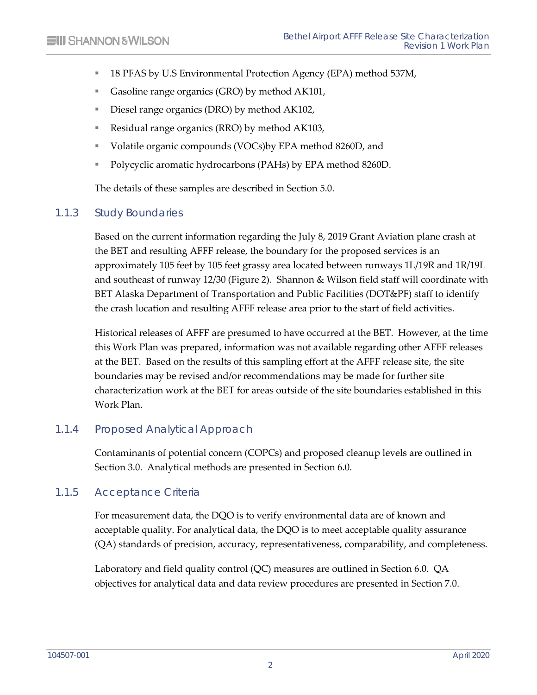- 18 PFAS by U.S Environmental Protection Agency (EPA) method 537M,
- Gasoline range organics (GRO) by method AK101,
- Diesel range organics (DRO) by method AK102,
- Residual range organics (RRO) by method AK103,
- Volatile organic compounds (VOCs)by EPA method 8260D, and
- Polycyclic aromatic hydrocarbons (PAHs) by EPA method 8260D.

<span id="page-7-0"></span>The details of these samples are described in Section 5.0.

#### 1.1.3 Study Boundaries

Based on the current information regarding the July 8, 2019 Grant Aviation plane crash at the BET and resulting AFFF release, the boundary for the proposed services is an approximately 105 feet by 105 feet grassy area located between runways 1L/19R and 1R/19L and southeast of runway 12/30 (Figure 2). Shannon & Wilson field staff will coordinate with BET Alaska Department of Transportation and Public Facilities (DOT&PF) staff to identify the crash location and resulting AFFF release area prior to the start of field activities.

Historical releases of AFFF are presumed to have occurred at the BET. However, at the time this Work Plan was prepared, information was not available regarding other AFFF releases at the BET. Based on the results of this sampling effort at the AFFF release site, the site boundaries may be revised and/or recommendations may be made for further site characterization work at the BET for areas outside of the site boundaries established in this Work Plan.

#### 1.1.4 Proposed Analytical Approach

<span id="page-7-2"></span><span id="page-7-1"></span>Contaminants of potential concern (COPCs) and proposed cleanup levels are outlined in Section 3.0. Analytical methods are presented in Section 6.0.

#### 1.1.5 Acceptance Criteria

For measurement data, the DQO is to verify environmental data are of known and acceptable quality. For analytical data, the DQO is to meet acceptable quality assurance (QA) standards of precision, accuracy, representativeness, comparability, and completeness.

Laboratory and field quality control (QC) measures are outlined in Section 6.0. QA objectives for analytical data and data review procedures are presented in Section 7.0.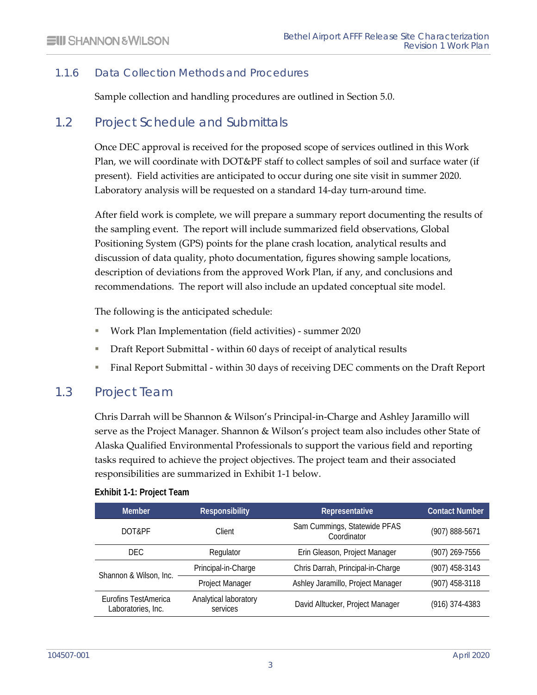#### 1.1.6 Data Collection Methods and Procedures

<span id="page-8-1"></span><span id="page-8-0"></span>Sample collection and handling procedures are outlined in Section 5.0.

## 1.2 Project Schedule and Submittals

Once DEC approval is received for the proposed scope of services outlined in this Work Plan, we will coordinate with DOT&PF staff to collect samples of soil and surface water (if present). Field activities are anticipated to occur during one site visit in summer 2020. Laboratory analysis will be requested on a standard 14-day turn-around time.

After field work is complete, we will prepare a summary report documenting the results of the sampling event. The report will include summarized field observations, Global Positioning System (GPS) points for the plane crash location, analytical results and discussion of data quality, photo documentation, figures showing sample locations, description of deviations from the approved Work Plan, if any, and conclusions and recommendations. The report will also include an updated conceptual site model.

The following is the anticipated schedule:

- Work Plan Implementation (field activities) summer 2020
- Draft Report Submittal within 60 days of receipt of analytical results
- <span id="page-8-2"></span>Final Report Submittal - within 30 days of receiving DEC comments on the Draft Report

#### 1.3 Project Team

Chris Darrah will be Shannon & Wilson's Principal-in-Charge and Ashley Jaramillo will serve as the Project Manager. Shannon & Wilson's project team also includes other State of Alaska Qualified Environmental Professionals to support the various field and reporting tasks required to achieve the project objectives. The project team and their associated responsibilities are summarized in Exhibit 1-1 below.

<span id="page-8-3"></span>

| Exhibit 1-1: Project Team |  |
|---------------------------|--|
|---------------------------|--|

| <b>Member</b>                              | Representative<br><b>Responsibility</b> |                                             | <b>Contact Number</b> |
|--------------------------------------------|-----------------------------------------|---------------------------------------------|-----------------------|
| DOT&PF                                     | Client                                  | Sam Cummings, Statewide PFAS<br>Coordinator | (907) 888-5671        |
| DEC.                                       | Regulator                               | Erin Gleason, Project Manager               | (907) 269-7556        |
| Shannon & Wilson, Inc.                     | Principal-in-Charge                     | Chris Darrah, Principal-in-Charge           | (907) 458-3143        |
|                                            | Project Manager                         | Ashley Jaramillo, Project Manager           | (907) 458-3118        |
| Eurofins TestAmerica<br>Laboratories, Inc. | Analytical laboratory<br>services       | David Alltucker, Project Manager            | $(916)$ 374-4383      |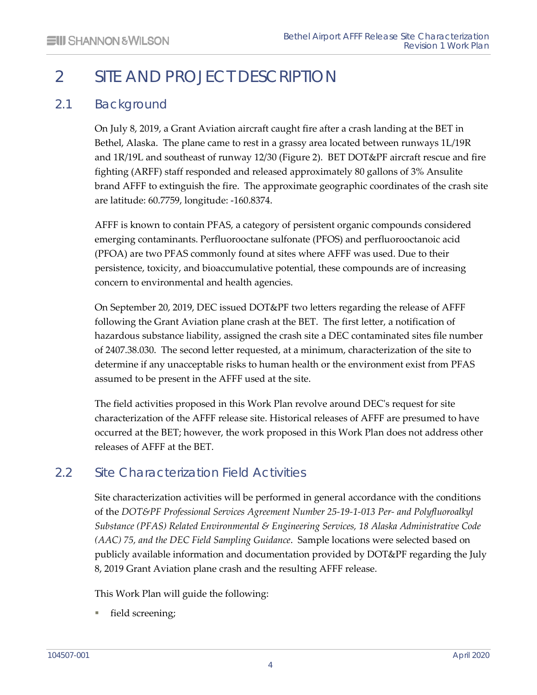# <span id="page-9-0"></span>2 SITE AND PROJECT DESCRIPTION

## 2.1 Background

<span id="page-9-1"></span>On July 8, 2019, a Grant Aviation aircraft caught fire after a crash landing at the BET in Bethel, Alaska. The plane came to rest in a grassy area located between runways 1L/19R and 1R/19L and southeast of runway 12/30 (Figure 2). BET DOT&PF aircraft rescue and fire fighting (ARFF) staff responded and released approximately 80 gallons of 3% Ansulite brand AFFF to extinguish the fire. The approximate geographic coordinates of the crash site are latitude: 60.7759, longitude: -160.8374.

AFFF is known to contain PFAS, a category of persistent organic compounds considered emerging contaminants. Perfluorooctane sulfonate (PFOS) and perfluorooctanoic acid (PFOA) are two PFAS commonly found at sites where AFFF was used. Due to their persistence, toxicity, and bioaccumulative potential, these compounds are of increasing concern to environmental and health agencies.

On September 20, 2019, DEC issued DOT&PF two letters regarding the release of AFFF following the Grant Aviation plane crash at the BET. The first letter, a notification of hazardous substance liability, assigned the crash site a DEC contaminated sites file number of 2407.38.030. The second letter requested, at a minimum, characterization of the site to determine if any unacceptable risks to human health or the environment exist from PFAS assumed to be present in the AFFF used at the site.

The field activities proposed in this Work Plan revolve around DEC's request for site characterization of the AFFF release site. Historical releases of AFFF are presumed to have occurred at the BET; however, the work proposed in this Work Plan does not address other releases of AFFF at the BET.

## 2.2 Site Characterization Field Activities

<span id="page-9-2"></span>Site characterization activities will be performed in general accordance with the conditions of the *DOT&PF Professional Services Agreement Number 25-19-1-013 Per- and Polyfluoroalkyl Substance (PFAS) Related Environmental & Engineering Services, 18 Alaska Administrative Code (AAC) 75, and the DEC Field Sampling Guidance*. Sample locations were selected based on publicly available information and documentation provided by DOT&PF regarding the July 8, 2019 Grant Aviation plane crash and the resulting AFFF release.

This Work Plan will guide the following:

field screening;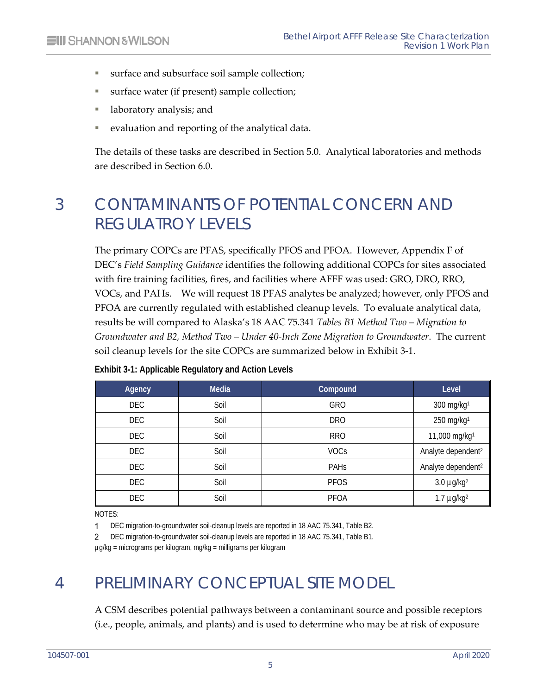- surface and subsurface soil sample collection;
- surface water (if present) sample collection;
- **I** laboratory analysis; and
- evaluation and reporting of the analytical data.

<span id="page-10-0"></span>The details of these tasks are described in Section 5.0. Analytical laboratories and methods are described in Section 6.0.

# 3 CONTAMINANTS OF POTENTIAL CONCERN AND REGULATROY LEVELS

The primary COPCs are PFAS, specifically PFOS and PFOA. However, Appendix F of DEC's *Field Sampling Guidance* identifies the following additional COPCs for sites associated with fire training facilities, fires, and facilities where AFFF was used: GRO, DRO, RRO, VOCs, and PAHs. We will request 18 PFAS analytes be analyzed; however, only PFOS and PFOA are currently regulated with established cleanup levels. To evaluate analytical data, results be will compared to Alaska's 18 AAC 75.341 *Tables B1 Method Two – Migration to Groundwater and B2, Method Two – Under 40-Inch Zone Migration to Groundwater*. The current soil cleanup levels for the site COPCs are summarized below in Exhibit 3-1.

| Agency     | <b>Media</b> | <b>Compound</b> | Level                          |
|------------|--------------|-----------------|--------------------------------|
| <b>DEC</b> | Soil         | GRO             | 300 mg/kg1                     |
| <b>DEC</b> | Soil         | <b>DRO</b>      | 250 mg/kg1                     |
| <b>DEC</b> | Soil         | <b>RRO</b>      | 11,000 mg/kg <sup>1</sup>      |
| DEC        | Soil         | <b>VOCs</b>     | Analyte dependent <sup>2</sup> |
| <b>DEC</b> | Soil         | <b>PAHS</b>     | Analyte dependent <sup>2</sup> |
| <b>DEC</b> | Soil         | <b>PFOS</b>     | $3.0 \mu g/kg2$                |
| <b>DEC</b> | Soil         | <b>PFOA</b>     | $1.7 \mu g/kg2$                |

#### <span id="page-10-2"></span>**Exhibit 3-1: Applicable Regulatory and Action Levels**

NOTES:

DEC migration-to-groundwater soil-cleanup levels are reported in 18 AAC 75.341, Table B2.  $\mathbf{1}$ 

DEC migration-to-groundwater soil-cleanup levels are reported in 18 AAC 75.341, Table B1. 2

<span id="page-10-1"></span>µg/kg = micrograms per kilogram, mg/kg = milligrams per kilogram

# 4 PRELIMINARY CONCEPTUAL SITE MODEL

A CSM describes potential pathways between a contaminant source and possible receptors (i.e., people, animals, and plants) and is used to determine who may be at risk of exposure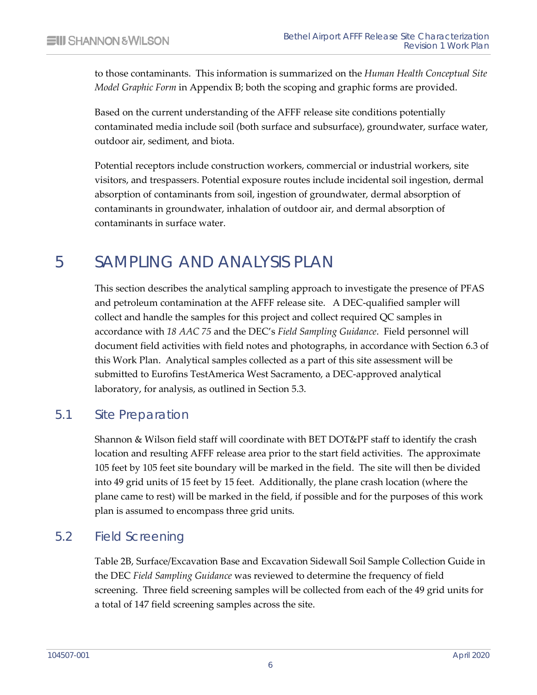to those contaminants. This information is summarized on the *Human Health Conceptual Site Model Graphic Form* in Appendix B; both the scoping and graphic forms are provided.

Based on the current understanding of the AFFF release site conditions potentially contaminated media include soil (both surface and subsurface), groundwater, surface water, outdoor air, sediment, and biota.

Potential receptors include construction workers, commercial or industrial workers, site visitors, and trespassers. Potential exposure routes include incidental soil ingestion, dermal absorption of contaminants from soil, ingestion of groundwater, dermal absorption of contaminants in groundwater, inhalation of outdoor air, and dermal absorption of contaminants in surface water.

# <span id="page-11-0"></span>5 SAMPLING AND ANALYSIS PLAN

This section describes the analytical sampling approach to investigate the presence of PFAS and petroleum contamination at the AFFF release site. A DEC-qualified sampler will collect and handle the samples for this project and collect required QC samples in accordance with *18 AAC 75* and the DEC's *Field Sampling Guidance*. Field personnel will document field activities with field notes and photographs, in accordance with Section 6.3 of this Work Plan. Analytical samples collected as a part of this site assessment will be submitted to Eurofins TestAmerica West Sacramento, a DEC-approved analytical laboratory, for analysis, as outlined in Section 5.3.

## 5.1 Site Preparation

<span id="page-11-1"></span>Shannon & Wilson field staff will coordinate with BET DOT&PF staff to identify the crash location and resulting AFFF release area prior to the start field activities. The approximate 105 feet by 105 feet site boundary will be marked in the field. The site will then be divided into 49 grid units of 15 feet by 15 feet. Additionally, the plane crash location (where the plane came to rest) will be marked in the field, if possible and for the purposes of this work plan is assumed to encompass three grid units.

## 5.2 Field Screening

<span id="page-11-2"></span>Table 2B, Surface/Excavation Base and Excavation Sidewall Soil Sample Collection Guide in the DEC *Field Sampling Guidance* was reviewed to determine the frequency of field screening. Three field screening samples will be collected from each of the 49 grid units for a total of 147 field screening samples across the site.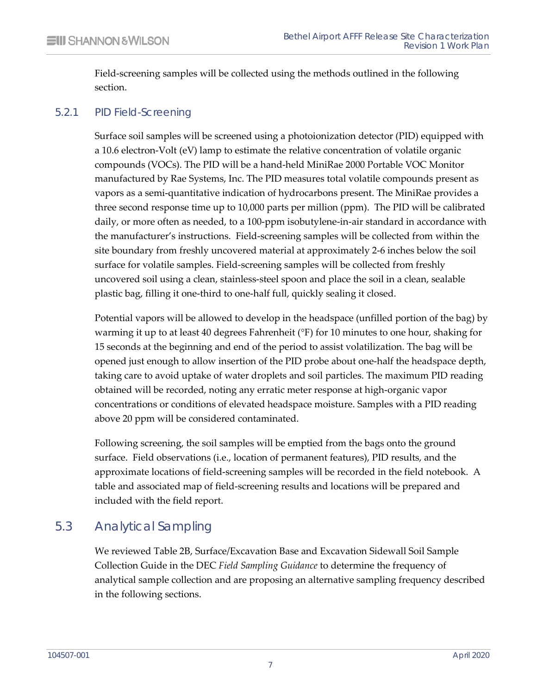<span id="page-12-0"></span>Field-screening samples will be collected using the methods outlined in the following section.

#### 5.2.1 PID Field-Screening

Surface soil samples will be screened using a photoionization detector (PID) equipped with a 10.6 electron-Volt (eV) lamp to estimate the relative concentration of volatile organic compounds (VOCs). The PID will be a hand-held MiniRae 2000 Portable VOC Monitor manufactured by Rae Systems, Inc. The PID measures total volatile compounds present as vapors as a semi-quantitative indication of hydrocarbons present. The MiniRae provides a three second response time up to 10,000 parts per million (ppm). The PID will be calibrated daily, or more often as needed, to a 100-ppm isobutylene-in-air standard in accordance with the manufacturer's instructions. Field-screening samples will be collected from within the site boundary from freshly uncovered material at approximately 2-6 inches below the soil surface for volatile samples. Field-screening samples will be collected from freshly uncovered soil using a clean, stainless-steel spoon and place the soil in a clean, sealable plastic bag, filling it one-third to one-half full, quickly sealing it closed.

Potential vapors will be allowed to develop in the headspace (unfilled portion of the bag) by warming it up to at least 40 degrees Fahrenheit (°F) for 10 minutes to one hour, shaking for 15 seconds at the beginning and end of the period to assist volatilization. The bag will be opened just enough to allow insertion of the PID probe about one-half the headspace depth, taking care to avoid uptake of water droplets and soil particles. The maximum PID reading obtained will be recorded, noting any erratic meter response at high-organic vapor concentrations or conditions of elevated headspace moisture. Samples with a PID reading above 20 ppm will be considered contaminated.

Following screening, the soil samples will be emptied from the bags onto the ground surface. Field observations (i.e., location of permanent features), PID results, and the approximate locations of field-screening samples will be recorded in the field notebook. A table and associated map of field-screening results and locations will be prepared and included with the field report.

## 5.3 Analytical Sampling

<span id="page-12-1"></span>We reviewed Table 2B, Surface/Excavation Base and Excavation Sidewall Soil Sample Collection Guide in the DEC *Field Sampling Guidance* to determine the frequency of analytical sample collection and are proposing an alternative sampling frequency described in the following sections.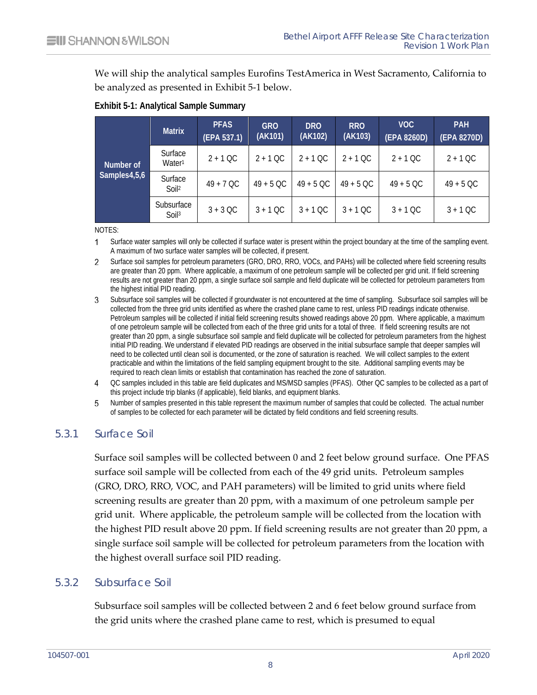We will ship the analytical samples Eurofins TestAmerica in West Sacramento, California to be analyzed as presented in Exhibit 5-1 below.

|              | <b>Matrix</b>                   | <b>PFAS</b><br>(EPA 537.1) | <b>GRO</b><br>(AK101) | <b>DRO</b><br>(AK102) | <b>RRO</b><br>(AK103) | VOC<br>(EPA 8260D) | <b>PAH</b><br>(EPA 8270D) |
|--------------|---------------------------------|----------------------------|-----------------------|-----------------------|-----------------------|--------------------|---------------------------|
| Number of    | Surface<br>Water <sup>1</sup>   | $2 + 1$ QC                 | $2 + 1$ QC            | $2 + 1$ QC            | $2 + 1$ OC            | $2 + 1$ OC         | $2 + 1$ QC                |
| Samples4,5,6 | Surface<br>$S$ oil <sup>2</sup> | $49 + 7$ QC                | $49 + 5$ QC           | $49 + 5$ QC           | $49 + 5$ QC           | $49 + 5$ QC        | $49 + 5$ QC               |
|              | Subsurface<br>Soil <sup>3</sup> | $3 + 3$ QC                 | $3 + 1$ QC            | $3 + 1$ OC            | $3 + 1$ OC            | $3 + 1$ QC         | $3 + 1$ QC                |

#### <span id="page-13-2"></span>**Exhibit 5-1: Analytical Sample Summary**

NOTES:

- $\mathbf{1}$ Surface water samples will only be collected if surface water is present within the project boundary at the time of the sampling event. A maximum of two surface water samples will be collected, if present.
- $\mathbf{2}$ Surface soil samples for petroleum parameters (GRO, DRO, RRO, VOCs, and PAHs) will be collected where field screening results are greater than 20 ppm. Where applicable, a maximum of one petroleum sample will be collected per grid unit. If field screening results are not greater than 20 ppm, a single surface soil sample and field duplicate will be collected for petroleum parameters from the highest initial PID reading.
- Subsurface soil samples will be collected if groundwater is not encountered at the time of sampling. Subsurface soil samples will be collected from the three grid units identified as where the crashed plane came to rest, unless PID readings indicate otherwise. Petroleum samples will be collected if initial field screening results showed readings above 20 ppm. Where applicable, a maximum of one petroleum sample will be collected from each of the three grid units for a total of three. If field screening results are not greater than 20 ppm, a single subsurface soil sample and field duplicate will be collected for petroleum parameters from the highest initial PID reading. We understand if elevated PID readings are observed in the initial subsurface sample that deeper samples will need to be collected until clean soil is documented, or the zone of saturation is reached. We will collect samples to the extent practicable and within the limitations of the field sampling equipment brought to the site. Additional sampling events may be required to reach clean limits or establish that contamination has reached the zone of saturation.
- 4 OC samples included in this table are field duplicates and MS/MSD samples (PFAS). Other QC samples to be collected as a part of this project include trip blanks (if applicable), field blanks, and equipment blanks.
- <span id="page-13-0"></span>Number of samples presented in this table represent the maximum number of samples that could be collected. The actual number  $5$ of samples to be collected for each parameter will be dictated by field conditions and field screening results.

#### 5.3.1 Surface Soil

Surface soil samples will be collected between 0 and 2 feet below ground surface. One PFAS surface soil sample will be collected from each of the 49 grid units. Petroleum samples (GRO, DRO, RRO, VOC, and PAH parameters) will be limited to grid units where field screening results are greater than 20 ppm, with a maximum of one petroleum sample per grid unit. Where applicable, the petroleum sample will be collected from the location with the highest PID result above 20 ppm. If field screening results are not greater than 20 ppm, a single surface soil sample will be collected for petroleum parameters from the location with the highest overall surface soil PID reading.

#### 5.3.2 Subsurface Soil

<span id="page-13-1"></span>Subsurface soil samples will be collected between 2 and 6 feet below ground surface from the grid units where the crashed plane came to rest, which is presumed to equal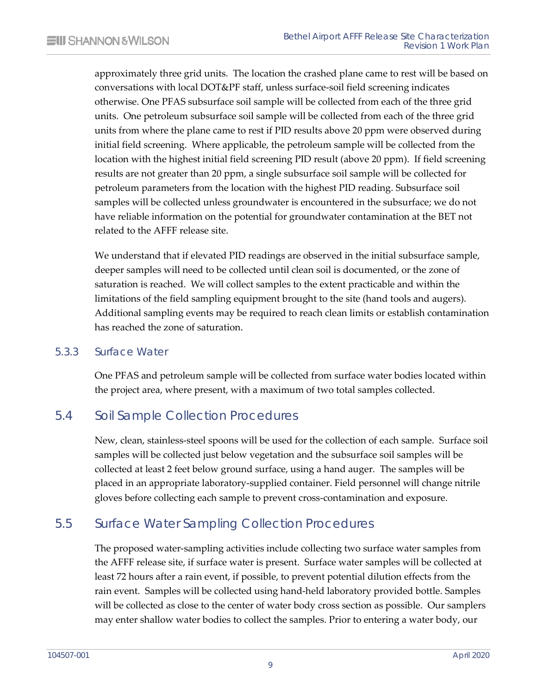approximately three grid units. The location the crashed plane came to rest will be based on conversations with local DOT&PF staff, unless surface-soil field screening indicates otherwise. One PFAS subsurface soil sample will be collected from each of the three grid units. One petroleum subsurface soil sample will be collected from each of the three grid units from where the plane came to rest if PID results above 20 ppm were observed during initial field screening. Where applicable, the petroleum sample will be collected from the location with the highest initial field screening PID result (above 20 ppm). If field screening results are not greater than 20 ppm, a single subsurface soil sample will be collected for petroleum parameters from the location with the highest PID reading. Subsurface soil samples will be collected unless groundwater is encountered in the subsurface; we do not have reliable information on the potential for groundwater contamination at the BET not related to the AFFF release site.

We understand that if elevated PID readings are observed in the initial subsurface sample, deeper samples will need to be collected until clean soil is documented, or the zone of saturation is reached. We will collect samples to the extent practicable and within the limitations of the field sampling equipment brought to the site (hand tools and augers). Additional sampling events may be required to reach clean limits or establish contamination has reached the zone of saturation.

#### 5.3.3 Surface Water

<span id="page-14-1"></span><span id="page-14-0"></span>One PFAS and petroleum sample will be collected from surface water bodies located within the project area, where present, with a maximum of two total samples collected.

## 5.4 Soil Sample Collection Procedures

New, clean, stainless-steel spoons will be used for the collection of each sample. Surface soil samples will be collected just below vegetation and the subsurface soil samples will be collected at least 2 feet below ground surface, using a hand auger. The samples will be placed in an appropriate laboratory-supplied container. Field personnel will change nitrile gloves before collecting each sample to prevent cross-contamination and exposure.

## 5.5 Surface Water Sampling Collection Procedures

<span id="page-14-2"></span>The proposed water-sampling activities include collecting two surface water samples from the AFFF release site, if surface water is present. Surface water samples will be collected at least 72 hours after a rain event, if possible, to prevent potential dilution effects from the rain event. Samples will be collected using hand-held laboratory provided bottle. Samples will be collected as close to the center of water body cross section as possible. Our samplers may enter shallow water bodies to collect the samples. Prior to entering a water body, our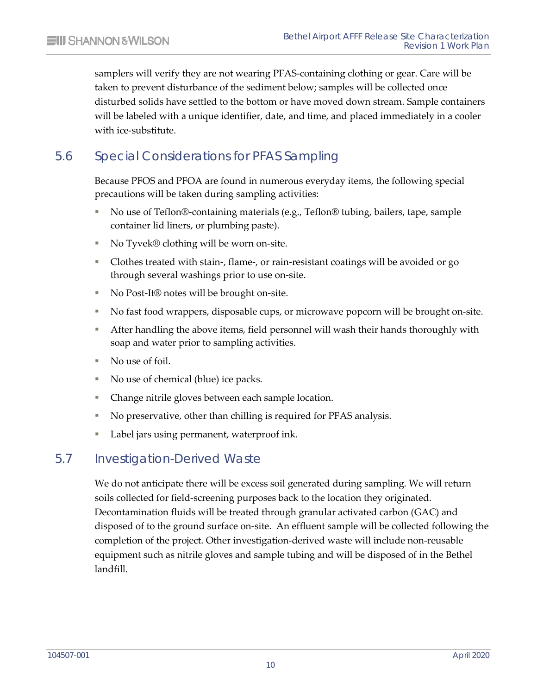samplers will verify they are not wearing PFAS-containing clothing or gear. Care will be taken to prevent disturbance of the sediment below; samples will be collected once disturbed solids have settled to the bottom or have moved down stream. Sample containers will be labeled with a unique identifier, date, and time, and placed immediately in a cooler with ice-substitute.

## 5.6 Special Considerations for PFAS Sampling

<span id="page-15-0"></span>Because PFOS and PFOA are found in numerous everyday items, the following special precautions will be taken during sampling activities:

- No use of Teflon®-containing materials (e.g., Teflon® tubing, bailers, tape, sample container lid liners, or plumbing paste).
- No Tyvek® clothing will be worn on-site.
- Clothes treated with stain-, flame-, or rain-resistant coatings will be avoided or go through several washings prior to use on-site.
- No Post-It<sup>®</sup> notes will be brought on-site.
- No fast food wrappers, disposable cups, or microwave popcorn will be brought on-site.
- After handling the above items, field personnel will wash their hands thoroughly with soap and water prior to sampling activities.
- No use of foil.
- No use of chemical (blue) ice packs.
- Change nitrile gloves between each sample location.
- No preservative, other than chilling is required for PFAS analysis.
- <span id="page-15-1"></span>■ Label jars using permanent, waterproof ink.

## 5.7 Investigation-Derived Waste

We do not anticipate there will be excess soil generated during sampling. We will return soils collected for field-screening purposes back to the location they originated. Decontamination fluids will be treated through granular activated carbon (GAC) and disposed of to the ground surface on-site. An effluent sample will be collected following the completion of the project. Other investigation-derived waste will include non-reusable equipment such as nitrile gloves and sample tubing and will be disposed of in the Bethel landfill.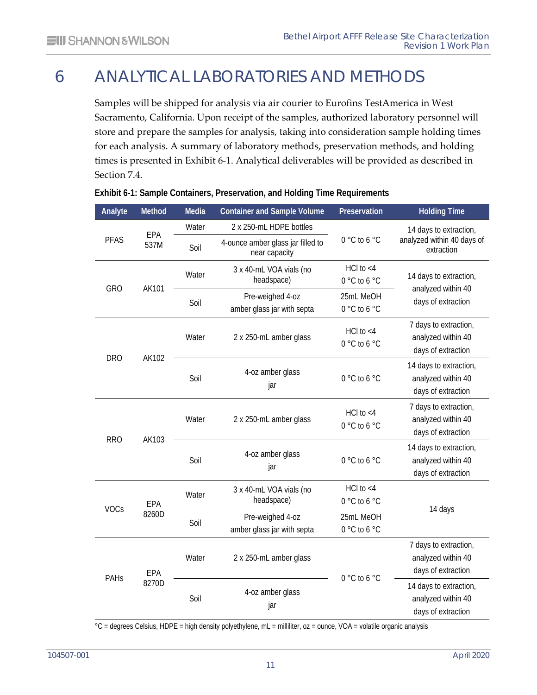# 6 ANALYTICAL LABORATORIES AND METHODS

<span id="page-16-0"></span>Samples will be shipped for analysis via air courier to Eurofins TestAmerica in West Sacramento, California. Upon receipt of the samples, authorized laboratory personnel will store and prepare the samples for analysis, taking into consideration sample holding times for each analysis. A summary of laboratory methods, preservation methods, and holding times is presented in Exhibit 6-1. Analytical deliverables will be provided as described in Section 7.4.

| Analyte     | Method                        | Media | <b>Container and Sample Volume</b>                 | Preservation                   | <b>Holding Time</b>                                                |                                                                   |
|-------------|-------------------------------|-------|----------------------------------------------------|--------------------------------|--------------------------------------------------------------------|-------------------------------------------------------------------|
|             | EPA                           | Water | 2 x 250-mL HDPE bottles                            |                                | 14 days to extraction,                                             |                                                                   |
| <b>PFAS</b> | 537M                          | Soil  | 4-ounce amber glass jar filled to<br>near capacity | 0 °C to 6 °C                   | analyzed within 40 days of<br>extraction                           |                                                                   |
|             |                               | Water | 3 x 40-mL VOA vials (no<br>headspace)              | HCl to $<$ 4<br>0°C to 6 °C    | 14 days to extraction,                                             |                                                                   |
| <b>GRO</b>  | AK101                         | Soil  | Pre-weighed 4-oz<br>amber glass jar with septa     | 25mL MeOH<br>0 °C to 6 °C      | analyzed within 40<br>days of extraction                           |                                                                   |
|             | AK102                         | Water | 2 x 250-mL amber glass                             | $HCl$ to $<$ 4<br>0°C to 6 °C  | 7 days to extraction,<br>analyzed within 40<br>days of extraction  |                                                                   |
| <b>DRO</b>  |                               | Soil  | 4-oz amber glass<br>jar                            | 0 °C to 6 °C                   | 14 days to extraction,<br>analyzed within 40<br>days of extraction |                                                                   |
| <b>RRO</b>  | AK103                         | Water |                                                    | 2 x 250-mL amber glass         | HCl to $<$ 4<br>0°C to 6 °C                                        | 7 days to extraction,<br>analyzed within 40<br>days of extraction |
|             |                               | Soil  | 4-oz amber glass<br>jar                            | 0 °C to 6 °C                   | 14 days to extraction,<br>analyzed within 40<br>days of extraction |                                                                   |
|             | EPA                           | Water | 3 x 40-mL VOA vials (no<br>headspace)              | $HCl$ to $<$ 4<br>0 °C to 6 °C |                                                                    |                                                                   |
| <b>VOCs</b> | 8260D                         | Soil  | Pre-weighed 4-oz<br>amber glass jar with septa     | 25mL MeOH<br>0°C to 6 °C       | 14 days                                                            |                                                                   |
| PAHs        | Water<br>EPA<br>8270D<br>Soil |       | 2 x 250-mL amber glass                             | 0 °C to 6 °C                   | 7 days to extraction,<br>analyzed within 40<br>days of extraction  |                                                                   |
|             |                               |       | 4-oz amber glass<br>jar                            |                                | 14 days to extraction,<br>analyzed within 40<br>days of extraction |                                                                   |

#### <span id="page-16-1"></span>**Exhibit 6-1: Sample Containers, Preservation, and Holding Time Requirements**

°C = degrees Celsius, HDPE = high density polyethylene, mL = milliliter, oz = ounce, VOA = volatile organic analysis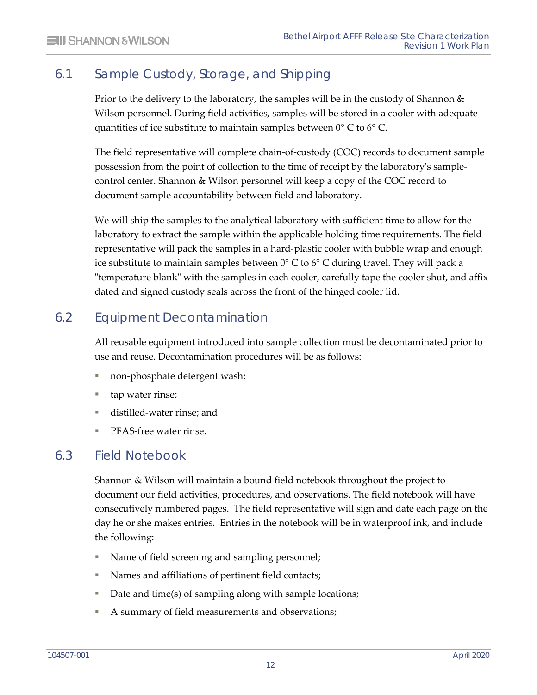## 6.1 Sample Custody, Storage, and Shipping

<span id="page-17-0"></span>Prior to the delivery to the laboratory, the samples will be in the custody of Shannon  $\&$ Wilson personnel. During field activities, samples will be stored in a cooler with adequate quantities of ice substitute to maintain samples between 0° C to 6° C.

The field representative will complete chain-of-custody (COC) records to document sample possession from the point of collection to the time of receipt by the laboratory's samplecontrol center. Shannon & Wilson personnel will keep a copy of the COC record to document sample accountability between field and laboratory.

We will ship the samples to the analytical laboratory with sufficient time to allow for the laboratory to extract the sample within the applicable holding time requirements. The field representative will pack the samples in a hard-plastic cooler with bubble wrap and enough ice substitute to maintain samples between  $0^{\circ}$  C to  $6^{\circ}$  C during travel. They will pack a "temperature blank" with the samples in each cooler, carefully tape the cooler shut, and affix dated and signed custody seals across the front of the hinged cooler lid.

## 6.2 Equipment Decontamination

<span id="page-17-1"></span>All reusable equipment introduced into sample collection must be decontaminated prior to use and reuse. Decontamination procedures will be as follows:

- non-phosphate detergent wash;
- tap water rinse;
- distilled-water rinse; and
- <span id="page-17-2"></span>PFAS-free water rinse.

## 6.3 Field Notebook

Shannon & Wilson will maintain a bound field notebook throughout the project to document our field activities, procedures, and observations. The field notebook will have consecutively numbered pages. The field representative will sign and date each page on the day he or she makes entries. Entries in the notebook will be in waterproof ink, and include the following:

- Name of field screening and sampling personnel;
- Names and affiliations of pertinent field contacts;
- Date and time(s) of sampling along with sample locations;
- A summary of field measurements and observations;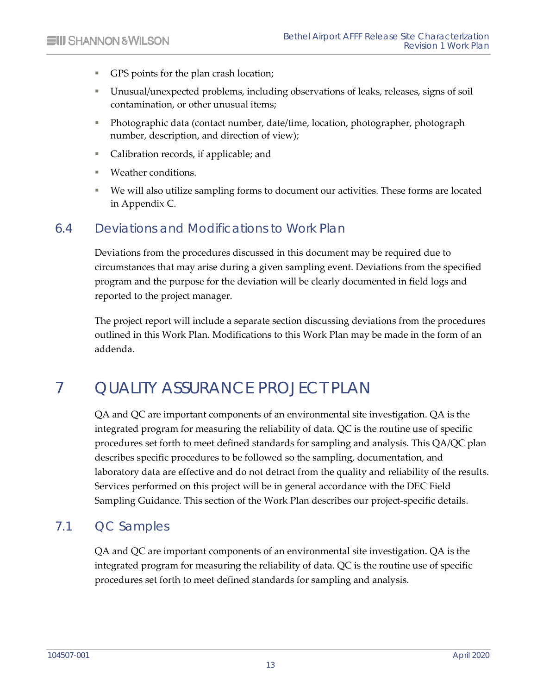- GPS points for the plan crash location;
- Unusual/unexpected problems, including observations of leaks, releases, signs of soil contamination, or other unusual items;
- Photographic data (contact number, date/time, location, photographer, photograph number, description, and direction of view);
- Calibration records, if applicable; and
- Weather conditions.
- <span id="page-18-0"></span> We will also utilize sampling forms to document our activities. These forms are located in Appendix C.

## 6.4 Deviations and Modifications to Work Plan

Deviations from the procedures discussed in this document may be required due to circumstances that may arise during a given sampling event. Deviations from the specified program and the purpose for the deviation will be clearly documented in field logs and reported to the project manager.

<span id="page-18-1"></span>The project report will include a separate section discussing deviations from the procedures outlined in this Work Plan. Modifications to this Work Plan may be made in the form of an addenda.

# 7 QUALITY ASSURANCE PROJECT PLAN

QA and QC are important components of an environmental site investigation. QA is the integrated program for measuring the reliability of data. QC is the routine use of specific procedures set forth to meet defined standards for sampling and analysis. This QA/QC plan describes specific procedures to be followed so the sampling, documentation, and laboratory data are effective and do not detract from the quality and reliability of the results. Services performed on this project will be in general accordance with the DEC Field Sampling Guidance. This section of the Work Plan describes our project-specific details.

## 7.1 QC Samples

<span id="page-18-2"></span>QA and QC are important components of an environmental site investigation. QA is the integrated program for measuring the reliability of data. QC is the routine use of specific procedures set forth to meet defined standards for sampling and analysis.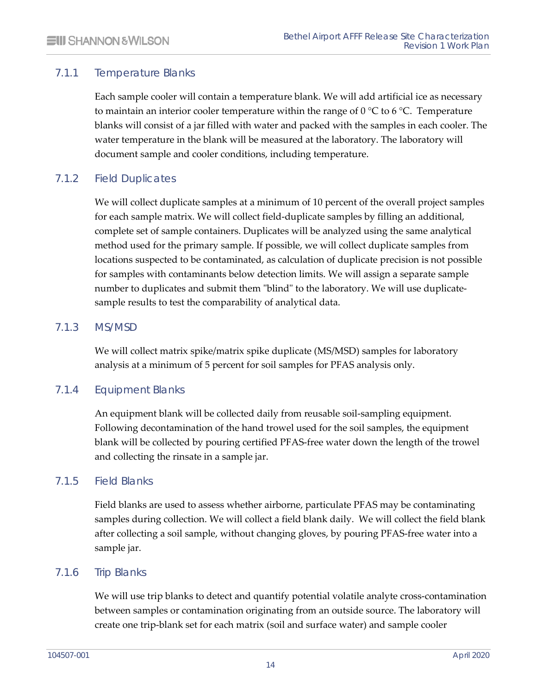#### 7.1.1 Temperature Blanks

<span id="page-19-0"></span>Each sample cooler will contain a temperature blank. We will add artificial ice as necessary to maintain an interior cooler temperature within the range of  $0^{\circ}C$  to 6  $^{\circ}C$ . Temperature blanks will consist of a jar filled with water and packed with the samples in each cooler. The water temperature in the blank will be measured at the laboratory. The laboratory will document sample and cooler conditions, including temperature.

#### 7.1.2 Field Duplicates

<span id="page-19-1"></span>We will collect duplicate samples at a minimum of 10 percent of the overall project samples for each sample matrix. We will collect field-duplicate samples by filling an additional, complete set of sample containers. Duplicates will be analyzed using the same analytical method used for the primary sample. If possible, we will collect duplicate samples from locations suspected to be contaminated, as calculation of duplicate precision is not possible for samples with contaminants below detection limits. We will assign a separate sample number to duplicates and submit them "blind" to the laboratory. We will use duplicatesample results to test the comparability of analytical data.

#### 7.1.3 MS/MSD

<span id="page-19-3"></span><span id="page-19-2"></span>We will collect matrix spike/matrix spike duplicate (MS/MSD) samples for laboratory analysis at a minimum of 5 percent for soil samples for PFAS analysis only.

#### 7.1.4 Equipment Blanks

An equipment blank will be collected daily from reusable soil-sampling equipment. Following decontamination of the hand trowel used for the soil samples, the equipment blank will be collected by pouring certified PFAS-free water down the length of the trowel and collecting the rinsate in a sample jar.

#### 7.1.5 Field Blanks

<span id="page-19-4"></span>Field blanks are used to assess whether airborne, particulate PFAS may be contaminating samples during collection. We will collect a field blank daily. We will collect the field blank after collecting a soil sample, without changing gloves, by pouring PFAS-free water into a sample jar.

#### 7.1.6 Trip Blanks

<span id="page-19-5"></span>We will use trip blanks to detect and quantify potential volatile analyte cross-contamination between samples or contamination originating from an outside source. The laboratory will create one trip-blank set for each matrix (soil and surface water) and sample cooler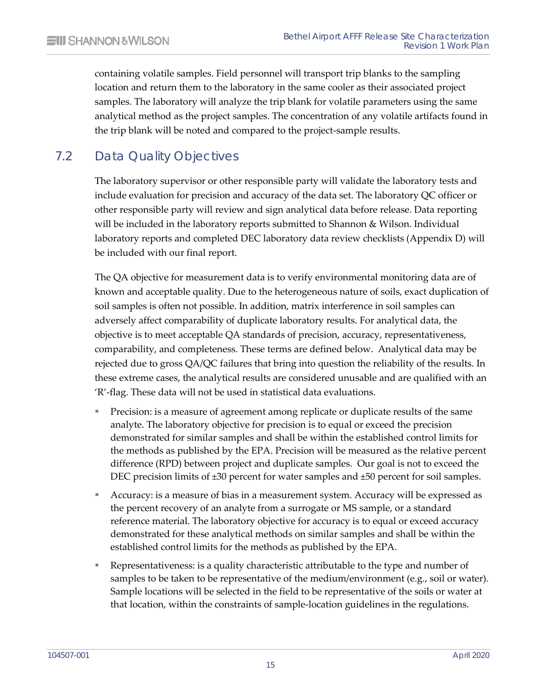containing volatile samples. Field personnel will transport trip blanks to the sampling location and return them to the laboratory in the same cooler as their associated project samples. The laboratory will analyze the trip blank for volatile parameters using the same analytical method as the project samples. The concentration of any volatile artifacts found in the trip blank will be noted and compared to the project-sample results.

## 7.2 Data Quality Objectives

<span id="page-20-0"></span>The laboratory supervisor or other responsible party will validate the laboratory tests and include evaluation for precision and accuracy of the data set. The laboratory QC officer or other responsible party will review and sign analytical data before release. Data reporting will be included in the laboratory reports submitted to Shannon & Wilson. Individual laboratory reports and completed DEC laboratory data review checklists (Appendix D) will be included with our final report.

The QA objective for measurement data is to verify environmental monitoring data are of known and acceptable quality. Due to the heterogeneous nature of soils, exact duplication of soil samples is often not possible. In addition, matrix interference in soil samples can adversely affect comparability of duplicate laboratory results. For analytical data, the objective is to meet acceptable QA standards of precision, accuracy, representativeness, comparability, and completeness. These terms are defined below. Analytical data may be rejected due to gross QA/QC failures that bring into question the reliability of the results. In these extreme cases, the analytical results are considered unusable and are qualified with an 'R'-flag. These data will not be used in statistical data evaluations.

- **Precision: is a measure of agreement among replicate or duplicate results of the same** analyte. The laboratory objective for precision is to equal or exceed the precision demonstrated for similar samples and shall be within the established control limits for the methods as published by the EPA. Precision will be measured as the relative percent difference (RPD) between project and duplicate samples. Our goal is not to exceed the DEC precision limits of  $\pm 30$  percent for water samples and  $\pm 50$  percent for soil samples.
- Accuracy: is a measure of bias in a measurement system. Accuracy will be expressed as the percent recovery of an analyte from a surrogate or MS sample, or a standard reference material. The laboratory objective for accuracy is to equal or exceed accuracy demonstrated for these analytical methods on similar samples and shall be within the established control limits for the methods as published by the EPA.
- Representativeness: is a quality characteristic attributable to the type and number of samples to be taken to be representative of the medium/environment (e.g., soil or water). Sample locations will be selected in the field to be representative of the soils or water at that location, within the constraints of sample-location guidelines in the regulations.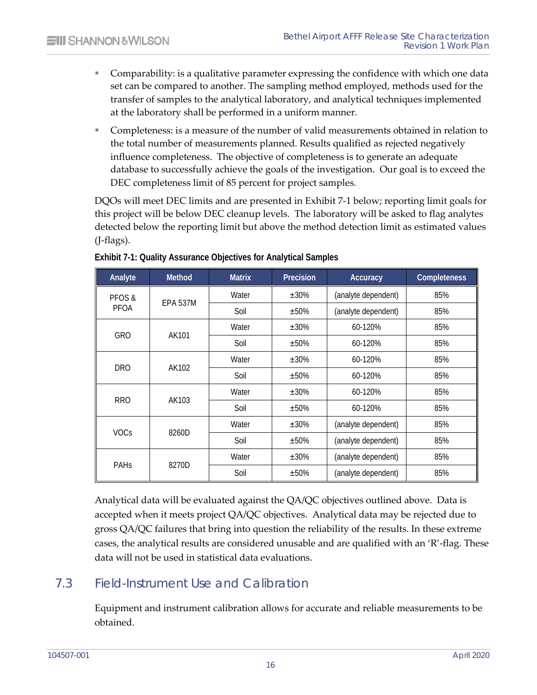- Comparability: is a qualitative parameter expressing the confidence with which one data set can be compared to another. The sampling method employed, methods used for the transfer of samples to the analytical laboratory, and analytical techniques implemented at the laboratory shall be performed in a uniform manner.
- Completeness: is a measure of the number of valid measurements obtained in relation to the total number of measurements planned. Results qualified as rejected negatively influence completeness. The objective of completeness is to generate an adequate database to successfully achieve the goals of the investigation. Our goal is to exceed the DEC completeness limit of 85 percent for project samples.

DQOs will meet DEC limits and are presented in Exhibit 7-1 below; reporting limit goals for this project will be below DEC cleanup levels. The laboratory will be asked to flag analytes detected below the reporting limit but above the method detection limit as estimated values (J-flags).

| Analyte     | <b>Method</b>   | <b>Matrix</b> | Precision  | Accuracy            | <b>Completeness</b> |
|-------------|-----------------|---------------|------------|---------------------|---------------------|
| PFOS &      | <b>EPA 537M</b> | Water         | $±30\%$    | (analyte dependent) | 85%                 |
| PFOA        |                 | Soil          | $±50\%$    | (analyte dependent) | 85%                 |
| <b>GRO</b>  | AK101           | Water         | $±30\%$    | 60-120%             | 85%                 |
|             |                 | Soil          | ±50%       | 60-120%             | 85%                 |
| <b>DRO</b>  |                 | Water         | ±30%       | 60-120%             | 85%                 |
|             | AK102           | Soil          | $±50\%$    | 60-120%             | 85%                 |
| <b>RRO</b>  | AK103           | Water         | $\pm 30\%$ | 60-120%             | 85%                 |
|             |                 | Soil          | ±50%       | 60-120%             | 85%                 |
|             |                 | Water         | $±30\%$    | (analyte dependent) | 85%                 |
| <b>VOCs</b> | 8260D           | Soil          | ±50%       | (analyte dependent) | 85%                 |
|             |                 | Water         | $±30\%$    | (analyte dependent) | 85%                 |
| PAHS        | 8270D           | Soil          | ±50%       | (analyte dependent) | 85%                 |

#### <span id="page-21-1"></span>**Exhibit 7-1: Quality Assurance Objectives for Analytical Samples**

Analytical data will be evaluated against the QA/QC objectives outlined above. Data is accepted when it meets project QA/QC objectives. Analytical data may be rejected due to gross QA/QC failures that bring into question the reliability of the results. In these extreme cases, the analytical results are considered unusable and are qualified with an 'R'-flag. These data will not be used in statistical data evaluations.

## 7.3 Field-Instrument Use and Calibration

<span id="page-21-0"></span>Equipment and instrument calibration allows for accurate and reliable measurements to be obtained.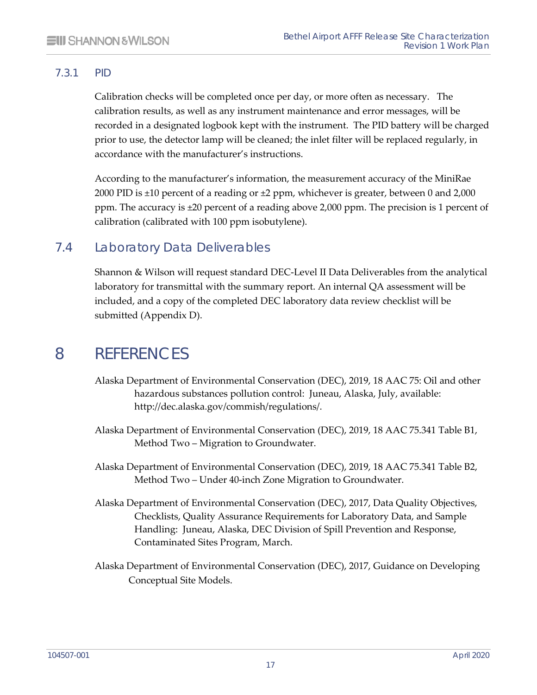#### 7.3.1 PID

<span id="page-22-0"></span>Calibration checks will be completed once per day, or more often as necessary. The calibration results, as well as any instrument maintenance and error messages, will be recorded in a designated logbook kept with the instrument. The PID battery will be charged prior to use, the detector lamp will be cleaned; the inlet filter will be replaced regularly, in accordance with the manufacturer's instructions.

According to the manufacturer's information, the measurement accuracy of the MiniRae 2000 PID is  $\pm 10$  percent of a reading or  $\pm 2$  ppm, whichever is greater, between 0 and 2,000 ppm. The accuracy is ±20 percent of a reading above 2,000 ppm. The precision is 1 percent of calibration (calibrated with 100 ppm isobutylene).

## 7.4 Laboratory Data Deliverables

<span id="page-22-1"></span>Shannon & Wilson will request standard DEC-Level II Data Deliverables from the analytical laboratory for transmittal with the summary report. An internal QA assessment will be included, and a copy of the completed DEC laboratory data review checklist will be submitted (Appendix D).

## <span id="page-22-2"></span>8 REFERENCES

- Alaska Department of Environmental Conservation (DEC), 2019, 18 AAC 75: Oil and other hazardous substances pollution control: Juneau, Alaska, July, available: [http://dec.alaska.gov/commish/regulations/.](http://dec.alaska.gov/commish/regulations/)
- Alaska Department of Environmental Conservation (DEC), 2019, 18 AAC 75.341 Table B1, Method Two – Migration to Groundwater.
- Alaska Department of Environmental Conservation (DEC), 2019, 18 AAC 75.341 Table B2, Method Two – Under 40-inch Zone Migration to Groundwater.
- Alaska Department of Environmental Conservation (DEC), 2017, Data Quality Objectives, Checklists, Quality Assurance Requirements for Laboratory Data, and Sample Handling: Juneau, Alaska, DEC Division of Spill Prevention and Response, Contaminated Sites Program, March.
- Alaska Department of Environmental Conservation (DEC), 2017, Guidance on Developing Conceptual Site Models.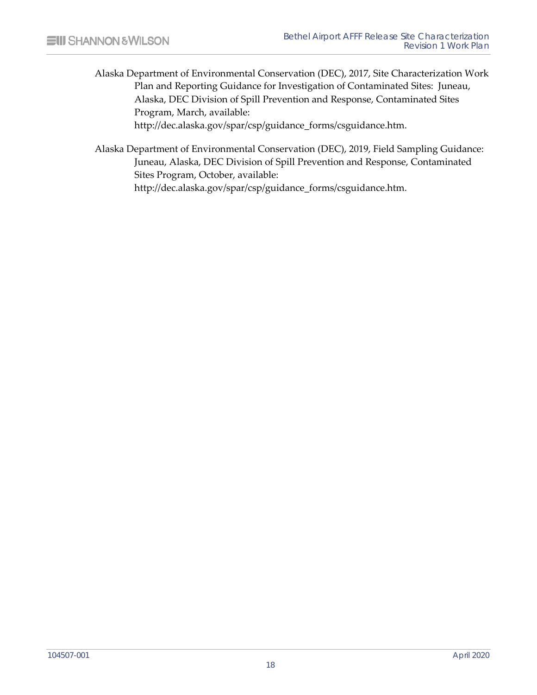- Alaska Department of Environmental Conservation (DEC), 2017, Site Characterization Work Plan and Reporting Guidance for Investigation of Contaminated Sites: Juneau, Alaska, DEC Division of Spill Prevention and Response, Contaminated Sites Program, March, available: [http://dec.alaska.gov/spar/csp/guidance\\_forms/csguidance.htm.](http://dec.alaska.gov/spar/csp/guidance_forms/csguidance.htm)
- Alaska Department of Environmental Conservation (DEC), 2019, Field Sampling Guidance: Juneau, Alaska, DEC Division of Spill Prevention and Response, Contaminated Sites Program, October, available: [http://dec.alaska.gov/spar/csp/guidance\\_forms/csguidance.htm.](http://dec.alaska.gov/spar/csp/guidance_forms/csguidance.htm)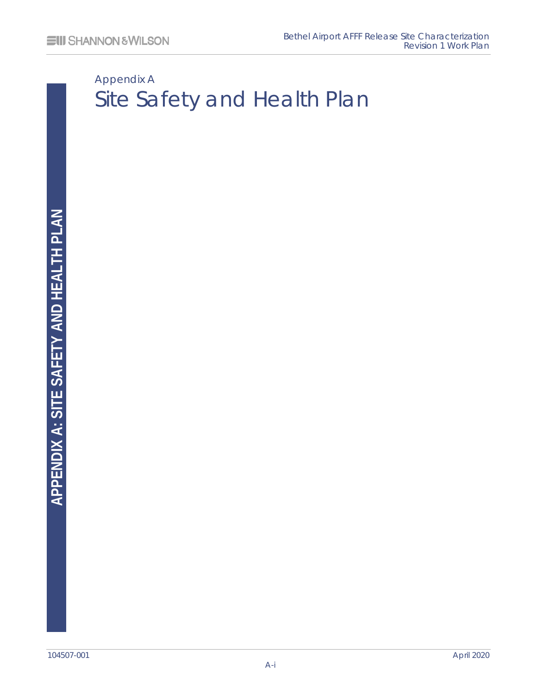# <span id="page-24-0"></span>Appendix A Site Safety and Health Plan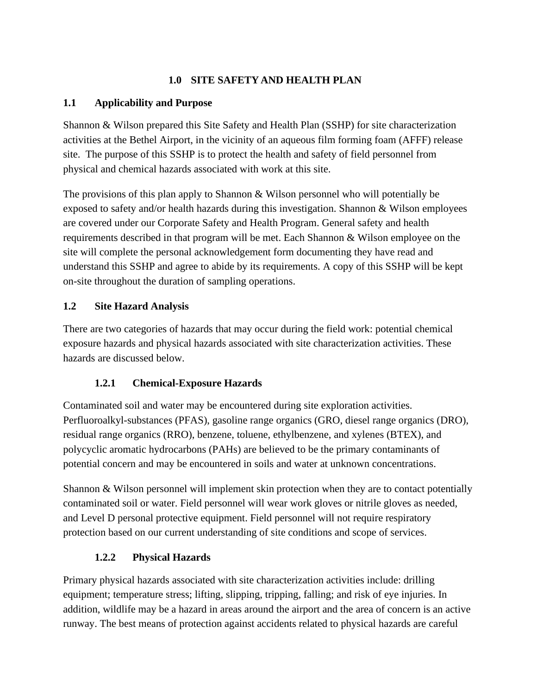#### **1.0 SITE SAFETY AND HEALTH PLAN**

#### **1.1 Applicability and Purpose**

Shannon & Wilson prepared this Site Safety and Health Plan (SSHP) for site characterization activities at the Bethel Airport, in the vicinity of an aqueous film forming foam (AFFF) release site. The purpose of this SSHP is to protect the health and safety of field personnel from physical and chemical hazards associated with work at this site.

The provisions of this plan apply to Shannon & Wilson personnel who will potentially be exposed to safety and/or health hazards during this investigation. Shannon & Wilson employees are covered under our Corporate Safety and Health Program. General safety and health requirements described in that program will be met. Each Shannon & Wilson employee on the site will complete the personal acknowledgement form documenting they have read and understand this SSHP and agree to abide by its requirements. A copy of this SSHP will be kept on-site throughout the duration of sampling operations.

#### **1.2 Site Hazard Analysis**

There are two categories of hazards that may occur during the field work: potential chemical exposure hazards and physical hazards associated with site characterization activities. These hazards are discussed below.

#### **1.2.1 Chemical-Exposure Hazards**

Contaminated soil and water may be encountered during site exploration activities. Perfluoroalkyl-substances (PFAS), gasoline range organics (GRO, diesel range organics (DRO), residual range organics (RRO), benzene, toluene, ethylbenzene, and xylenes (BTEX), and polycyclic aromatic hydrocarbons (PAHs) are believed to be the primary contaminants of potential concern and may be encountered in soils and water at unknown concentrations.

Shannon & Wilson personnel will implement skin protection when they are to contact potentially contaminated soil or water. Field personnel will wear work gloves or nitrile gloves as needed, and Level D personal protective equipment. Field personnel will not require respiratory protection based on our current understanding of site conditions and scope of services.

#### **1.2.2 Physical Hazards**

Primary physical hazards associated with site characterization activities include: drilling equipment; temperature stress; lifting, slipping, tripping, falling; and risk of eye injuries. In addition, wildlife may be a hazard in areas around the airport and the area of concern is an active runway. The best means of protection against accidents related to physical hazards are careful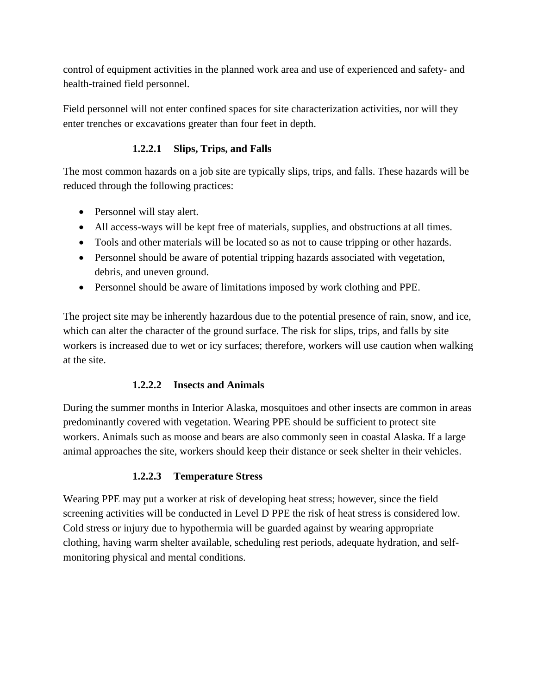control of equipment activities in the planned work area and use of experienced and safety- and health-trained field personnel.

Field personnel will not enter confined spaces for site characterization activities, nor will they enter trenches or excavations greater than four feet in depth.

#### **1.2.2.1 Slips, Trips, and Falls**

The most common hazards on a job site are typically slips, trips, and falls. These hazards will be reduced through the following practices:

- Personnel will stay alert.
- All access-ways will be kept free of materials, supplies, and obstructions at all times.
- Tools and other materials will be located so as not to cause tripping or other hazards.
- Personnel should be aware of potential tripping hazards associated with vegetation, debris, and uneven ground.
- Personnel should be aware of limitations imposed by work clothing and PPE.

The project site may be inherently hazardous due to the potential presence of rain, snow, and ice, which can alter the character of the ground surface. The risk for slips, trips, and falls by site workers is increased due to wet or icy surfaces; therefore, workers will use caution when walking at the site.

#### **1.2.2.2 Insects and Animals**

During the summer months in Interior Alaska, mosquitoes and other insects are common in areas predominantly covered with vegetation. Wearing PPE should be sufficient to protect site workers. Animals such as moose and bears are also commonly seen in coastal Alaska. If a large animal approaches the site, workers should keep their distance or seek shelter in their vehicles.

#### **1.2.2.3 Temperature Stress**

Wearing PPE may put a worker at risk of developing heat stress; however, since the field screening activities will be conducted in Level D PPE the risk of heat stress is considered low. Cold stress or injury due to hypothermia will be guarded against by wearing appropriate clothing, having warm shelter available, scheduling rest periods, adequate hydration, and selfmonitoring physical and mental conditions.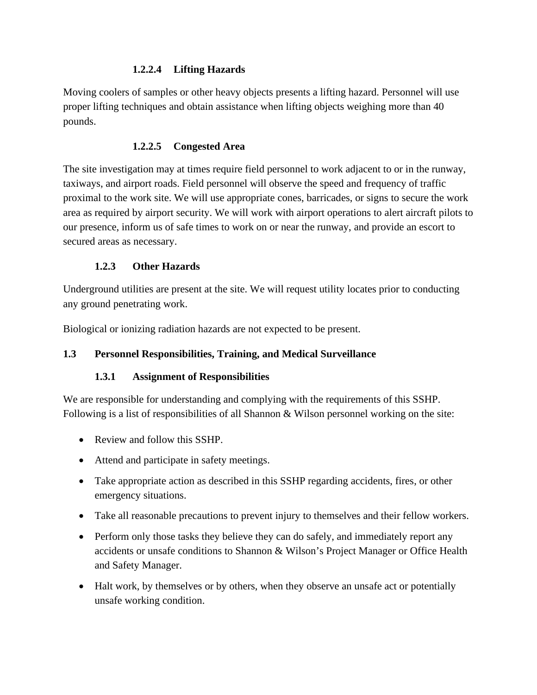#### **1.2.2.4 Lifting Hazards**

Moving coolers of samples or other heavy objects presents a lifting hazard. Personnel will use proper lifting techniques and obtain assistance when lifting objects weighing more than 40 pounds.

#### **1.2.2.5 Congested Area**

The site investigation may at times require field personnel to work adjacent to or in the runway, taxiways, and airport roads. Field personnel will observe the speed and frequency of traffic proximal to the work site. We will use appropriate cones, barricades, or signs to secure the work area as required by airport security. We will work with airport operations to alert aircraft pilots to our presence, inform us of safe times to work on or near the runway, and provide an escort to secured areas as necessary.

#### **1.2.3 Other Hazards**

Underground utilities are present at the site. We will request utility locates prior to conducting any ground penetrating work.

Biological or ionizing radiation hazards are not expected to be present.

#### **1.3 Personnel Responsibilities, Training, and Medical Surveillance**

#### **1.3.1 Assignment of Responsibilities**

We are responsible for understanding and complying with the requirements of this SSHP. Following is a list of responsibilities of all Shannon & Wilson personnel working on the site:

- Review and follow this SSHP.
- Attend and participate in safety meetings.
- Take appropriate action as described in this SSHP regarding accidents, fires, or other emergency situations.
- Take all reasonable precautions to prevent injury to themselves and their fellow workers.
- Perform only those tasks they believe they can do safely, and immediately report any accidents or unsafe conditions to Shannon & Wilson's Project Manager or Office Health and Safety Manager.
- Halt work, by themselves or by others, when they observe an unsafe act or potentially unsafe working condition.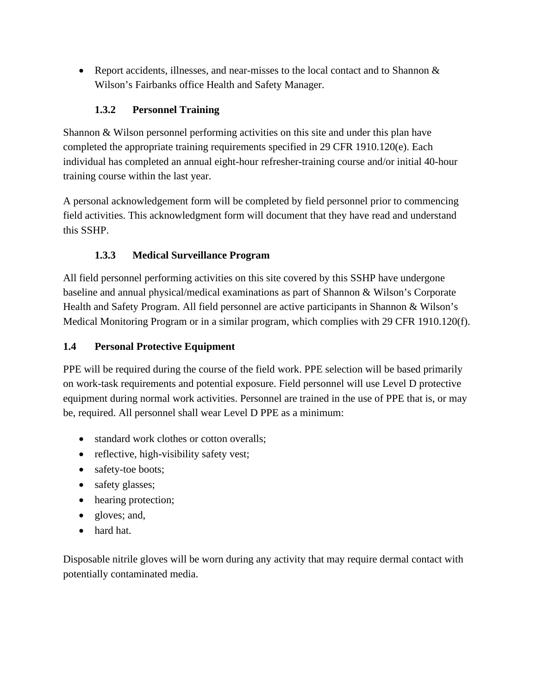• Report accidents, illnesses, and near-misses to the local contact and to Shannon  $\&$ Wilson's Fairbanks office Health and Safety Manager.

#### **1.3.2 Personnel Training**

Shannon & Wilson personnel performing activities on this site and under this plan have completed the appropriate training requirements specified in 29 CFR 1910.120(e). Each individual has completed an annual eight-hour refresher-training course and/or initial 40-hour training course within the last year.

A personal acknowledgement form will be completed by field personnel prior to commencing field activities. This acknowledgment form will document that they have read and understand this SSHP.

#### **1.3.3 Medical Surveillance Program**

All field personnel performing activities on this site covered by this SSHP have undergone baseline and annual physical/medical examinations as part of Shannon & Wilson's Corporate Health and Safety Program. All field personnel are active participants in Shannon & Wilson's Medical Monitoring Program or in a similar program, which complies with 29 CFR 1910.120(f).

#### **1.4 Personal Protective Equipment**

PPE will be required during the course of the field work. PPE selection will be based primarily on work-task requirements and potential exposure. Field personnel will use Level D protective equipment during normal work activities. Personnel are trained in the use of PPE that is, or may be, required. All personnel shall wear Level D PPE as a minimum:

- standard work clothes or cotton overalls;
- reflective, high-visibility safety vest;
- safety-toe boots;
- safety glasses:
- hearing protection;
- gloves; and,
- hard hat.

Disposable nitrile gloves will be worn during any activity that may require dermal contact with potentially contaminated media.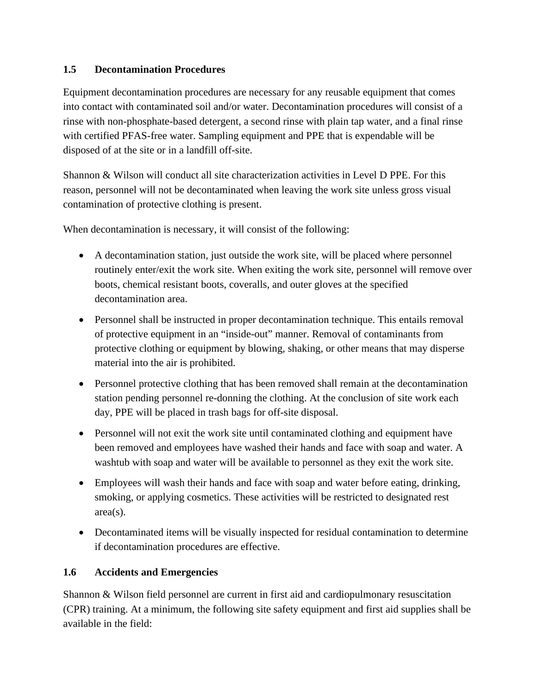#### **1.5 Decontamination Procedures**

Equipment decontamination procedures are necessary for any reusable equipment that comes into contact with contaminated soil and/or water. Decontamination procedures will consist of a rinse with non-phosphate-based detergent, a second rinse with plain tap water, and a final rinse with certified PFAS-free water. Sampling equipment and PPE that is expendable will be disposed of at the site or in a landfill off-site.

Shannon & Wilson will conduct all site characterization activities in Level D PPE. For this reason, personnel will not be decontaminated when leaving the work site unless gross visual contamination of protective clothing is present.

When decontamination is necessary, it will consist of the following:

- A decontamination station, just outside the work site, will be placed where personnel routinely enter/exit the work site. When exiting the work site, personnel will remove over boots, chemical resistant boots, coveralls, and outer gloves at the specified decontamination area.
- Personnel shall be instructed in proper decontamination technique. This entails removal of protective equipment in an "inside-out" manner. Removal of contaminants from protective clothing or equipment by blowing, shaking, or other means that may disperse material into the air is prohibited.
- Personnel protective clothing that has been removed shall remain at the decontamination station pending personnel re-donning the clothing. At the conclusion of site work each day, PPE will be placed in trash bags for off-site disposal.
- Personnel will not exit the work site until contaminated clothing and equipment have been removed and employees have washed their hands and face with soap and water. A washtub with soap and water will be available to personnel as they exit the work site.
- Employees will wash their hands and face with soap and water before eating, drinking, smoking, or applying cosmetics. These activities will be restricted to designated rest area(s).
- Decontaminated items will be visually inspected for residual contamination to determine if decontamination procedures are effective.

#### **1.6 Accidents and Emergencies**

Shannon & Wilson field personnel are current in first aid and cardiopulmonary resuscitation (CPR) training. At a minimum, the following site safety equipment and first aid supplies shall be available in the field: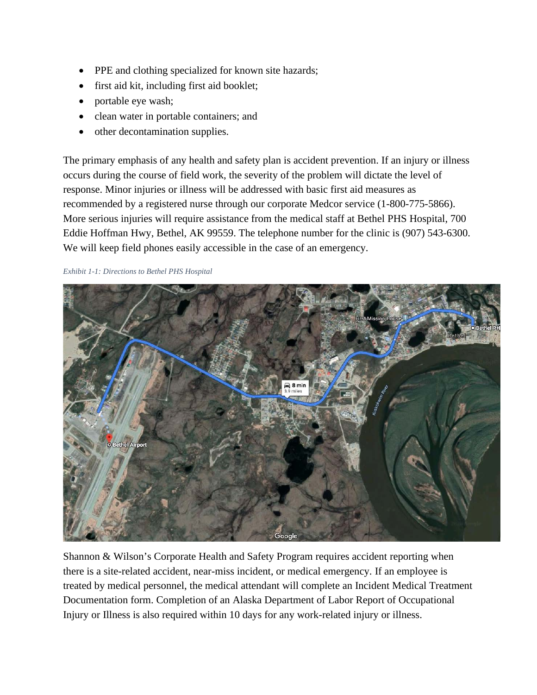- PPE and clothing specialized for known site hazards;
- first aid kit, including first aid booklet;
- portable eye wash;
- clean water in portable containers; and
- other decontamination supplies.

The primary emphasis of any health and safety plan is accident prevention. If an injury or illness occurs during the course of field work, the severity of the problem will dictate the level of response. Minor injuries or illness will be addressed with basic first aid measures as recommended by a registered nurse through our corporate Medcor service (1-800-775-5866). More serious injuries will require assistance from the medical staff at Bethel PHS Hospital, 700 Eddie Hoffman Hwy, Bethel, AK 99559. The telephone number for the clinic is (907) 543-6300. We will keep field phones easily accessible in the case of an emergency.

#### *Exhibit 1-1: Directions to Bethel PHS Hospital*



Shannon & Wilson's Corporate Health and Safety Program requires accident reporting when there is a site-related accident, near-miss incident, or medical emergency. If an employee is treated by medical personnel, the medical attendant will complete an Incident Medical Treatment Documentation form. Completion of an Alaska Department of Labor Report of Occupational Injury or Illness is also required within 10 days for any work-related injury or illness.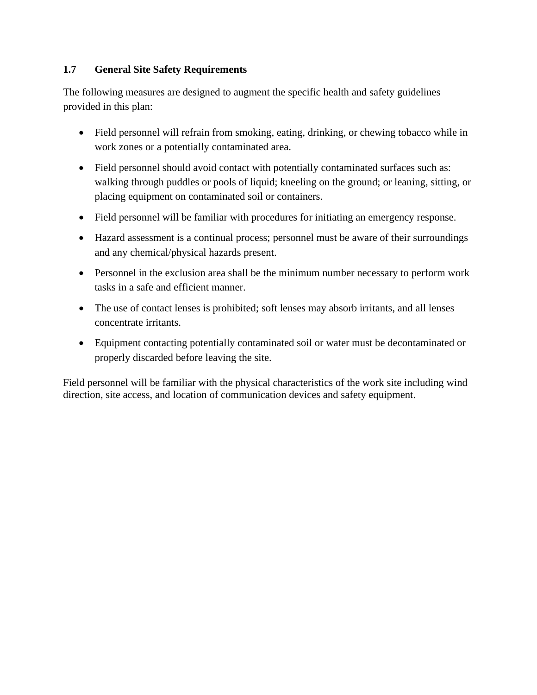#### **1.7 General Site Safety Requirements**

The following measures are designed to augment the specific health and safety guidelines provided in this plan:

- Field personnel will refrain from smoking, eating, drinking, or chewing tobacco while in work zones or a potentially contaminated area.
- Field personnel should avoid contact with potentially contaminated surfaces such as: walking through puddles or pools of liquid; kneeling on the ground; or leaning, sitting, or placing equipment on contaminated soil or containers.
- Field personnel will be familiar with procedures for initiating an emergency response.
- Hazard assessment is a continual process; personnel must be aware of their surroundings and any chemical/physical hazards present.
- Personnel in the exclusion area shall be the minimum number necessary to perform work tasks in a safe and efficient manner.
- The use of contact lenses is prohibited; soft lenses may absorb irritants, and all lenses concentrate irritants.
- Equipment contacting potentially contaminated soil or water must be decontaminated or properly discarded before leaving the site.

Field personnel will be familiar with the physical characteristics of the work site including wind direction, site access, and location of communication devices and safety equipment.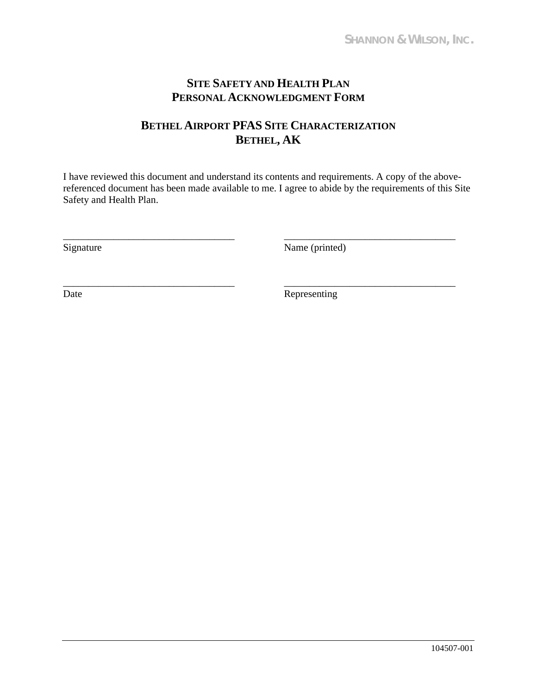## **SITE SAFETY AND HEALTH PLAN PERSONAL ACKNOWLEDGMENT FORM**

## **BETHEL AIRPORT PFAS SITE CHARACTERIZATION BETHEL, AK**

I have reviewed this document and understand its contents and requirements. A copy of the abovereferenced document has been made available to me. I agree to abide by the requirements of this Site Safety and Health Plan.

\_\_\_\_\_\_\_\_\_\_\_\_\_\_\_\_\_\_\_\_\_\_\_\_\_\_\_\_\_\_\_\_\_\_ \_\_\_\_\_\_\_\_\_\_\_\_\_\_\_\_\_\_\_\_\_\_\_\_\_\_\_\_\_\_\_\_\_\_ Signature Name (printed)

\_\_\_\_\_\_\_\_\_\_\_\_\_\_\_\_\_\_\_\_\_\_\_\_\_\_\_\_\_\_\_\_\_\_ \_\_\_\_\_\_\_\_\_\_\_\_\_\_\_\_\_\_\_\_\_\_\_\_\_\_\_\_\_\_\_\_\_\_ Date Representing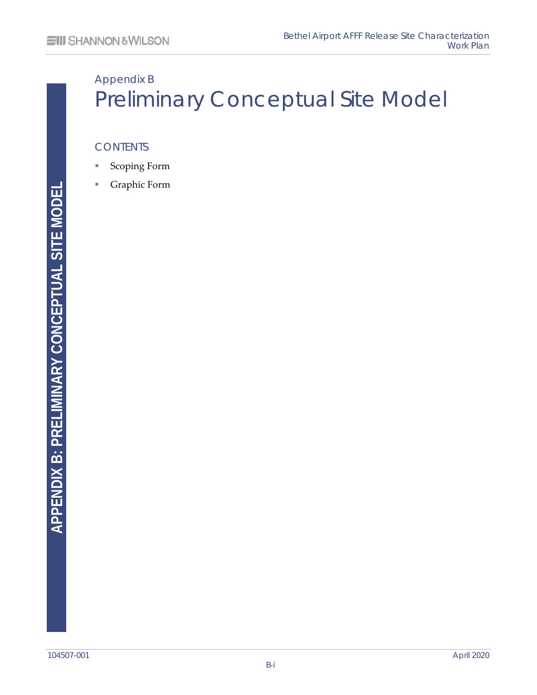# Appendix B Preliminary Conceptual Site Model

#### **CONTENTS**

- Scoping Form
- Graphic Form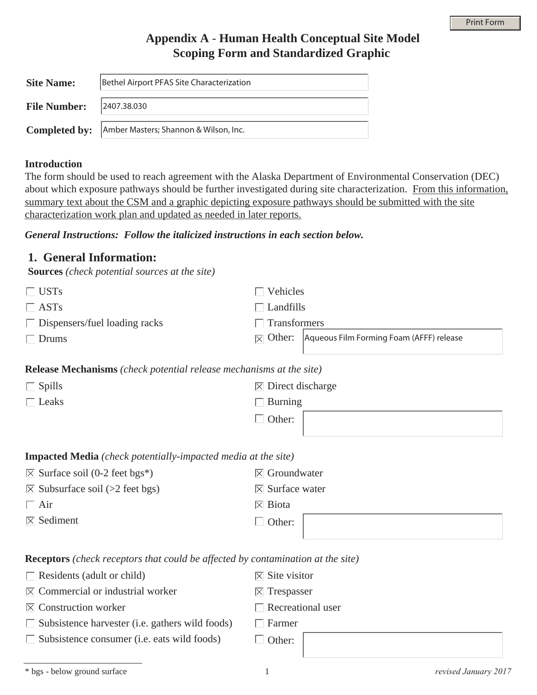#### **Appendix A** - **Human Health Conceptual Site Model Scoping Form and Standardized Graphic**

| <b>Site Name:</b>               | Bethel Airport PFAS Site Characterization                  |
|---------------------------------|------------------------------------------------------------|
| <b>File Number:</b> 2407.38.030 |                                                            |
|                                 | <b>Completed by:</b> Amber Masters; Shannon & Wilson, Inc. |

#### **Introduction**

The form should be used to reach agreement with the Alaska Department of Environmental Conservation (DEC) about which exposure pathways should be further investigated during site characterization. From this information, summary text about the CSM and a graphic depicting exposure pathways should be submitted with the site characterization work plan and updated as needed in later reports.

#### *General Instructions: Follow the italicized instructions in each section below.*

#### **1. General Information:**

**Sources** *(check potential sources at the site)*

| $\Box$ USTs                                                                         | Vehicles                                       |                                                                       |
|-------------------------------------------------------------------------------------|------------------------------------------------|-----------------------------------------------------------------------|
| $\Box$ ASTs                                                                         | Landfills                                      |                                                                       |
| $\Box$ Dispensers/fuel loading racks                                                | Transformers                                   |                                                                       |
| $\Box$ Drums                                                                        |                                                | $ \overline{\times} $ Other: Aqueous Film Forming Foam (AFFF) release |
|                                                                                     |                                                |                                                                       |
| <b>Release Mechanisms</b> ( <i>check potential release mechanisms at the site</i> ) |                                                |                                                                       |
| $\Box$ Spills                                                                       | $\vert\overline{\times}\vert$ Direct discharge |                                                                       |
| $\Box$ Leaks                                                                        | $\Box$ Burning                                 |                                                                       |
|                                                                                     | Other:                                         |                                                                       |

#### **Impacted Media** *(check potentially-impacted media at the site)*

| $\overline{\times}$ Surface soil (0-2 feet bgs*)   | $\vert\overline{\times}\vert$ Groundwater   |
|----------------------------------------------------|---------------------------------------------|
| $\vert \nabla \vert$ Subsurface soil (>2 feet bgs) | $\vert\overline{\times}\vert$ Surface water |
| $\Box$ Air                                         | $\boxtimes$ Biota                           |
| $\boxtimes$ Sediment                               | Other:                                      |
|                                                    |                                             |

**Receptors** *(check receptors that could be affected by contamination at the site)*

|  | $\Box$ Residents (adult or child) |  |
|--|-----------------------------------|--|
|--|-----------------------------------|--|

- $\boxtimes$  Commercial or industrial worker
- $\boxtimes$  Construction worker
- $\Box$  Subsistence harvester (i.e. gathers wild foods)
- $\Box$  Subsistence consumer (i.e. eats wild foods)

| Farmer |  |
|--------|--|
|        |  |

 $\overline{\boxtimes}$  Site visitor  $\vert\overline{\times}\vert$  Trespasser

 $\Box$  Recreational user

 $\Box$  Other:

<sup>\*</sup> bgs - below ground surface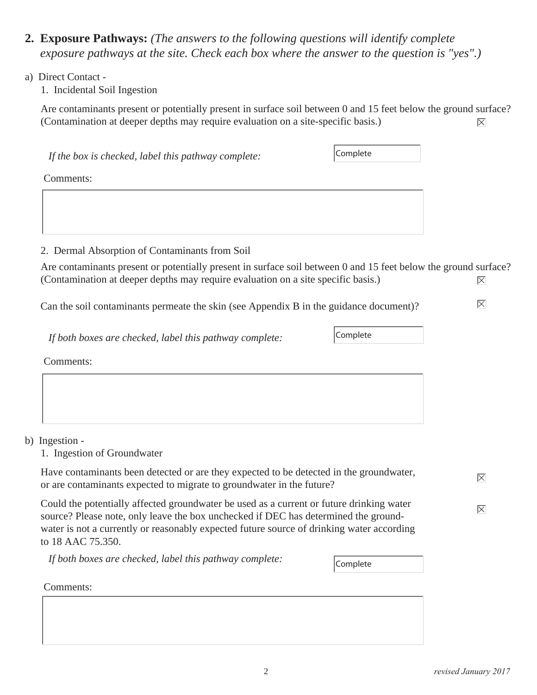- **2. Exposure Pathways:** *(The answers to the following questions will identify complete exposure pathways at the site. Check each box where the answer to the question is "yes".)*
- a) Direct Contact -

1. Incidental Soil Ingestion

Are contaminants present or potentially present in surface soil between 0 and 15 feet below the ground surface? (Contamination at deeper depths may require evaluation on a site-specific basis.)  $|\overline{\mathsf{X}}|$ 

| Are contaminants present or potentially present in surface soil between 0 and 15 feet below the ground surface?<br>(Contamination at deeper depths may require evaluation on a site specific basis.)                                                                         | $ \overline{\times} $ |  |  |  |  |  |  |
|------------------------------------------------------------------------------------------------------------------------------------------------------------------------------------------------------------------------------------------------------------------------------|-----------------------|--|--|--|--|--|--|
| Can the soil contaminants permeate the skin (see Appendix B in the guidance document)?                                                                                                                                                                                       |                       |  |  |  |  |  |  |
| Complete                                                                                                                                                                                                                                                                     |                       |  |  |  |  |  |  |
|                                                                                                                                                                                                                                                                              |                       |  |  |  |  |  |  |
|                                                                                                                                                                                                                                                                              |                       |  |  |  |  |  |  |
|                                                                                                                                                                                                                                                                              |                       |  |  |  |  |  |  |
|                                                                                                                                                                                                                                                                              |                       |  |  |  |  |  |  |
|                                                                                                                                                                                                                                                                              |                       |  |  |  |  |  |  |
| Have contaminants been detected or are they expected to be detected in the groundwater,<br>or are contaminants expected to migrate to groundwater in the future?                                                                                                             | $ \overline{\times} $ |  |  |  |  |  |  |
| Could the potentially affected groundwater be used as a current or future drinking water<br>source? Please note, only leave the box unchecked if DEC has determined the ground-<br>water is not a currently or reasonably expected future source of drinking water according | $ \overline{\times} $ |  |  |  |  |  |  |
| Complete                                                                                                                                                                                                                                                                     |                       |  |  |  |  |  |  |
|                                                                                                                                                                                                                                                                              |                       |  |  |  |  |  |  |
|                                                                                                                                                                                                                                                                              |                       |  |  |  |  |  |  |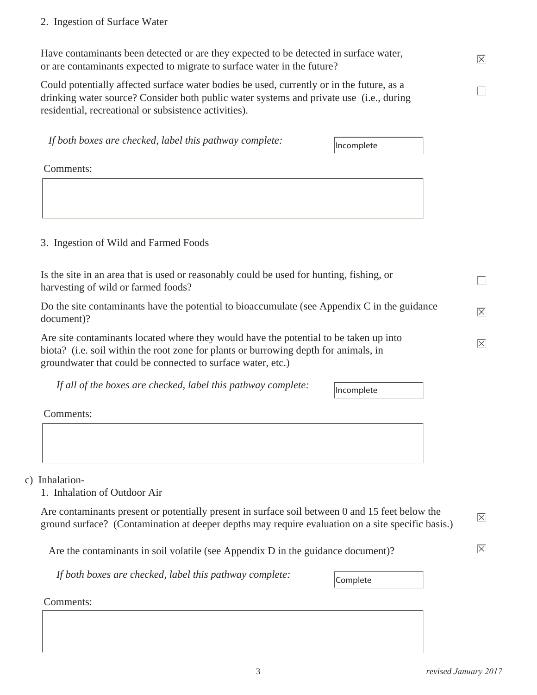#### 2. Ingestion of Surface Water

Have contaminants been detected or are they expected to be detected in surface water, or are contaminants expected to migrate to surface water in the future?

Could potentially affected surface water bodies be used, currently or in the future, as a drinking water source? Consider both public water systems and private use (i.e., during residential, recreational or subsistence activities).

*If both boxes are checked, label this pathway complete:*

Incomplete

Comments:

#### 3. Ingestion of Wild and Farmed Foods

| Is the site in an area that is used or reasonably could be used for hunting, fishing, or<br>harvesting of wild or farmed foods?                                                                                                              |                       |
|----------------------------------------------------------------------------------------------------------------------------------------------------------------------------------------------------------------------------------------------|-----------------------|
| Do the site contaminants have the potential to bioaccumulate (see Appendix C in the guidance<br>document)?                                                                                                                                   | $ \overline{\times} $ |
| Are site contaminants located where they would have the potential to be taken up into<br>biota? (i.e. soil within the root zone for plants or burrowing depth for animals, in<br>groundwater that could be connected to surface water, etc.) | $ \overline{\times} $ |

*If all of the boxes are checked, label this pathway complete:*

Incomplete

Comments:

c) Inhalation-

1. Inhalation of Outdoor Air

Are contaminants present or potentially present in surface soil between 0 and 15 feet below the ground surface? (Contamination at deeper depths may require evaluation on a site specific basis.)

Are the contaminants in soil volatile (see Appendix D in the guidance document)?

*If both boxes are checked, label this pathway complete:*

Complete

Comments:

 $|\nabla|$ 

 $|\nabla|$ 

 $|\overline{\mathsf{X}}|$ 

П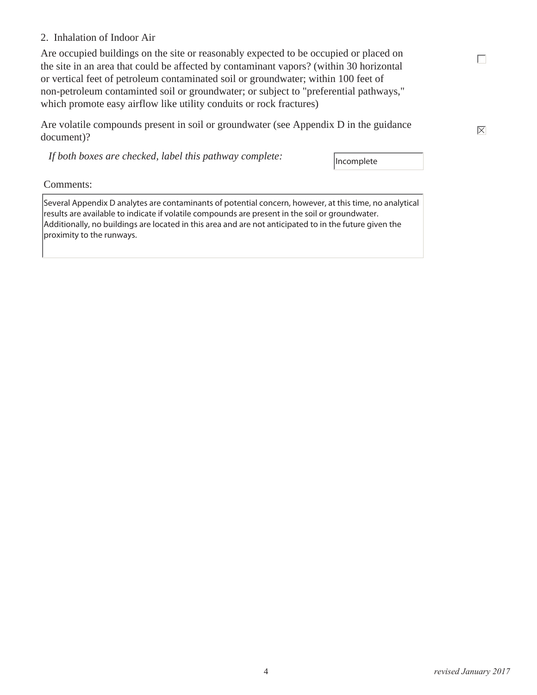#### 2. Inhalation of Indoor Air

Are occupied buildings on the site or reasonably expected to be occupied or placed on the site in an area that could be affected by contaminant vapors? (within 30 horizontal or vertical feet of petroleum contaminated soil or groundwater; within 100 feet of non-petroleum contaminted soil or groundwater; or subject to "preferential pathways," which promote easy airflow like utility conduits or rock fractures)

Are volatile compounds present in soil or groundwater (see Appendix D in the guidance document)?

*If both boxes are checked, label this pathway complete:*

Incomplete

Comments:

Several Appendix D analytes are contaminants of potential concern, however, at this time, no analytical results are available to indicate if volatile compounds are present in the soil or groundwater. Additionally, no buildings are located in this area and are not anticipated to in the future given the proximity to the runways.

 $|\overline{\mathsf{X}}|$ 

 $\Box$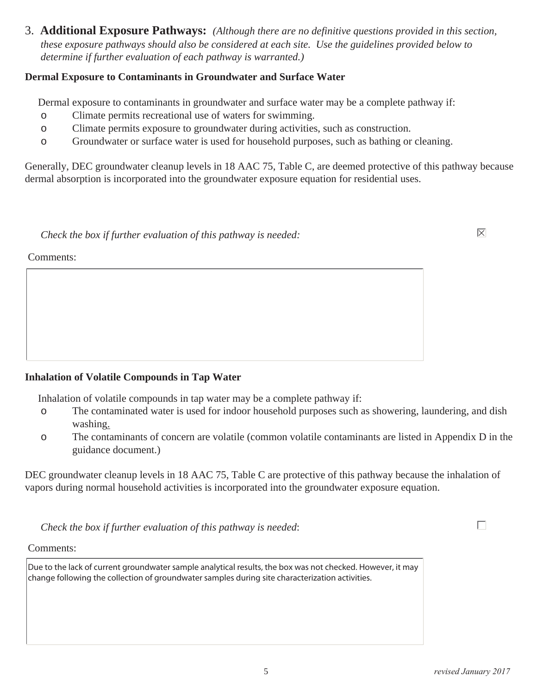3. **Additional Exposure Pathways:** *(Although there are no definitive questions provided in this section, these exposure pathways should also be considered at each site. Use the guidelines provided below to determine if further evaluation of each pathway is warranted.)*

#### **Dermal Exposure to Contaminants in Groundwater and Surface Water**

Dermal exposure to contaminants in groundwater and surface water may be a complete pathway if:

- o Climate permits recreational use of waters for swimming.
- o Climate permits exposure to groundwater during activities, such as construction.
- o Groundwater or surface water is used for household purposes, such as bathing or cleaning.

Generally, DEC groundwater cleanup levels in 18 AAC 75, Table C, are deemed protective of this pathway because dermal absorption is incorporated into the groundwater exposure equation for residential uses.

*Check the box if further evaluation of this pathway is needed:* 

Comments:

#### **Inhalation of Volatile Compounds in Tap Water**

Inhalation of volatile compounds in tap water may be a complete pathway if:

- o The contaminated water is used for indoor household purposes such as showering, laundering, and dish washing.
- o The contaminants of concern are volatile (common volatile contaminants are listed in Appendix D in the guidance document.)

DEC groundwater cleanup levels in 18 AAC 75, Table C are protective of this pathway because the inhalation of vapors during normal household activities is incorporated into the groundwater exposure equation.

*Check the box if further evaluation of this pathway is needed*:

Comments:

Due to the lack of current groundwater sample analytical results, the box was not checked. However, it may change following the collection of groundwater samples during site characterization activities.

П

 $|\nabla|$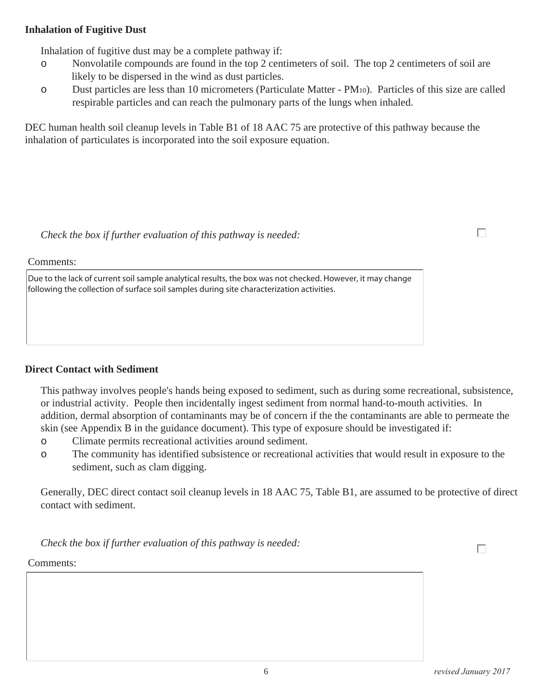#### **Inhalation of Fugitive Dust**

Inhalation of fugitive dust may be a complete pathway if:

- o Nonvolatile compounds are found in the top 2 centimeters of soil. The top 2 centimeters of soil are likely to be dispersed in the wind as dust particles.
- o Dust particles are less than 10 micrometers (Particulate Matter PM10). Particles of this size are called respirable particles and can reach the pulmonary parts of the lungs when inhaled.

DEC human health soil cleanup levels in Table B1 of 18 AAC 75 are protective of this pathway because the inhalation of particulates is incorporated into the soil exposure equation.

*Check the box if further evaluation of this pathway is needed:*

Comments:

Due to the lack of current soil sample analytical results, the box was not checked. However, it may change following the collection of surface soil samples during site characterization activities.

#### **Direct Contact with Sediment**

This pathway involves people's hands being exposed to sediment, such as during some recreational, subsistence, or industrial activity. People then incidentally ingest sediment from normal hand-to-mouth activities. In addition, dermal absorption of contaminants may be of concern if the the contaminants are able to permeate the skin (see Appendix B in the guidance document). This type of exposure should be investigated if:

- o Climate permits recreational activities around sediment.
- o The community has identified subsistence or recreational activities that would result in exposure to the sediment, such as clam digging.

Generally, DEC direct contact soil cleanup levels in 18 AAC 75, Table B1, are assumed to be protective of direct contact with sediment.

*Check the box if further evaluation of this pathway is needed:*

Comments:

 $\Box$ 

 $\Box$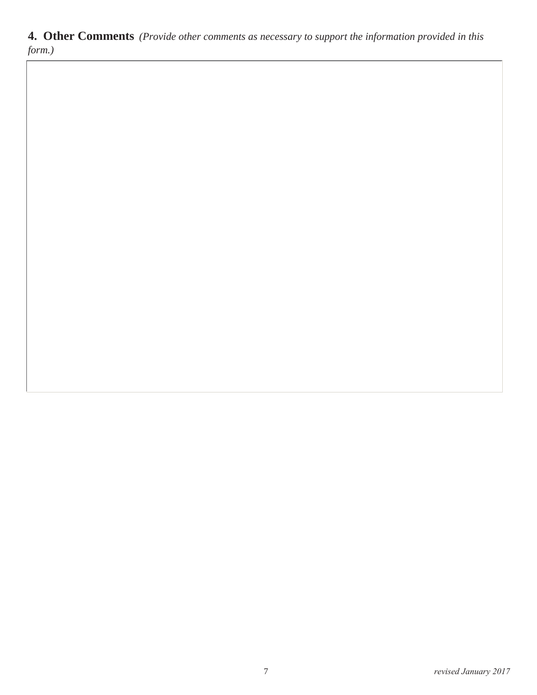**4. Other Comments** *(Provide other comments as necessary to support the information provided in this form.)*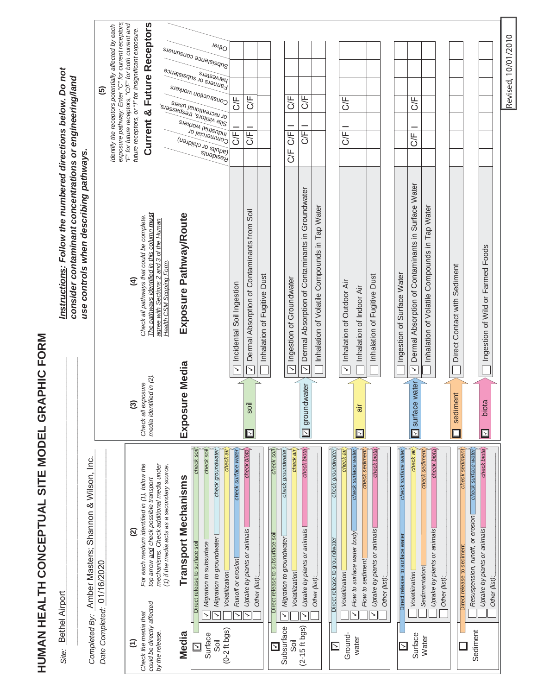HUMAN HEALTH CONCEPTUAL SITE MODEL GRAPHIC FORM **HUMAN HEALTH CONCEPTUAL SITE MODEL GRAPHIC FORM**

|                                                            |                                                                                                  | $\overline{5}$             | exposure pathway: Enter "C" for current receptors,<br>dentify the receptors potentially affected by each | "F" for future receptors, "C/F" for both current and<br>future receptors, or "I" for insignificant exposure. | Current & Future Receptors                                                                                                                                                                                   |                                              |                               | s. <sub>iaunsuoo aouaisisqnSl</sub><br>Lamers or subsistence<br> Construction workers<br>or recreational users<br>Site visitors, trespassers,<br>industrial workers<br><b>COMMOLCIAL</b><br>(ualplius of children) | $J \Theta U1O$                                                                                        | 5F<br><b>SF</b>                                       | 5H<br>5<br>0                                                |                             |                                                                     | 50<br>5F<br>C/F                                                                                        | 5H<br><b>JE1</b>                                                             |                                               |                                                                 | 55<br>5                                    |                                                                                                  |                                            |               |                                                             | 5F<br>5F                                                |                                                                                       |               |                                      |                                                                                                        |                                                        | Revised, 10/01/2010 |
|------------------------------------------------------------|--------------------------------------------------------------------------------------------------|----------------------------|----------------------------------------------------------------------------------------------------------|--------------------------------------------------------------------------------------------------------------|--------------------------------------------------------------------------------------------------------------------------------------------------------------------------------------------------------------|----------------------------------------------|-------------------------------|--------------------------------------------------------------------------------------------------------------------------------------------------------------------------------------------------------------------|-------------------------------------------------------------------------------------------------------|-------------------------------------------------------|-------------------------------------------------------------|-----------------------------|---------------------------------------------------------------------|--------------------------------------------------------------------------------------------------------|------------------------------------------------------------------------------|-----------------------------------------------|-----------------------------------------------------------------|--------------------------------------------|--------------------------------------------------------------------------------------------------|--------------------------------------------|---------------|-------------------------------------------------------------|---------------------------------------------------------|---------------------------------------------------------------------------------------|---------------|--------------------------------------|--------------------------------------------------------------------------------------------------------|--------------------------------------------------------|---------------------|
| Instructions: Follow the numbered directions below. Do not | consider contaminant concentrations or engineering/land<br>use controls when describing pathways |                            |                                                                                                          | €                                                                                                            | The pathways identified in this column must<br>Check all pathways that could be complete.<br>agree with Sections 2 and 3 of the Human                                                                        | Health CSM Scoping Form                      | Exposure Pathway/Route        |                                                                                                                                                                                                                    |                                                                                                       | Incidental Soil Ingestion<br>$\overline{\phantom{0}}$ | Dermal Absorption of Contaminants from Soil<br>$\checkmark$ | Inhalation of Fugitive Dust |                                                                     | $\overline{\checkmark}$ Ingestion of Groundwater                                                       | Dermal Absorption of Contaminants in Groundwater<br>$\overline{\phantom{0}}$ | Inhalation of Volatile Compounds in Tap Water |                                                                 | Inhalation of Outdoor Air<br>$\rightarrow$ | Inhalation of Indoor Air                                                                         | Inhalation of Fugitive Dust                |               | Ingestion of Surface Water                                  | Dermal Absorption of Contaminants in Surface Water<br>↘ | Inhalation of Volatile Compounds in Tap Water                                         |               | Sediment<br>Contact with<br>Direct ( |                                                                                                        | Ingestion of Wild or Farmed Foods                      |                     |
|                                                            |                                                                                                  |                            |                                                                                                          | ම                                                                                                            | Check all exposure<br>media identified in (2).                                                                                                                                                               |                                              | Exposure Media                |                                                                                                                                                                                                                    |                                                                                                       |                                                       | soil<br>$\boxdot$                                           |                             |                                                                     |                                                                                                        | <b>I</b> groundwater                                                         |                                               |                                                                 |                                            | āir<br>$\Box$                                                                                    |                                            |               |                                                             | <b>M</b> surface water                                  |                                                                                       |               | sediment                             |                                                                                                        | biota<br>$\Box$                                        |                     |
| Bethel Airport<br>Site:                                    | Amber Masters; Shannon & Wilson, Inc.<br>Completed By:                                           | Date Completed: 01/16/2020 |                                                                                                          | ି<br>$\widehat{E}$                                                                                           | mechanisms. Check additional media under<br>For each medium identified in (1), follow the<br>top arrow and check possible transport<br>could be directly affected<br>Check the media that<br>by the release. | (1) if the media acts as a secondary source. | Transport Mechanisms<br>Media | check soil<br>check soi<br>Migration to subsurface<br>Direct release to surface soil<br>↘<br>Surface<br>$\geq$                                                                                                     | check groundwate.<br>check ai<br>Migration to groundwater<br>Volatilization<br>$(0-2$ ft bgs)<br>söil | check surface water<br>Runoff or erosion              | check biota<br>Uptake by plants or animals                  | Other (list):               | check soil<br>Direct release to subsurface soil<br>$\triangleright$ | check groundwater<br>check ai<br>Migration to groundwater<br>Volatilization<br>↘<br>Subsurface<br>Soil | check biota<br>Uptake by plants or animals<br>↘<br>$(2 - 15$ ft bgs)         | Other (list):                                 | check groundwater<br>Direct release to groundwater<br>$\boxdot$ | check ai<br>Volatilization<br>Ground-      | check surface water<br>check sedimer.<br>Flow to surface water body<br>Flow to sediment<br>water | check biota<br>Uptake by plants or animals | Other (list): | check surface water<br>Direct release to surface water<br>⊡ | check ail<br>Volatilization<br>Surface                  | check biota<br>check sedimen<br>Uptake by plants or animals<br>Sedimentation<br>Water | Other (list): |                                      | check sedimen<br>check surface water<br>Resuspension, runoff, or erosion<br>Direct release to sediment | check biota<br>Uptake by plants or animals<br>Sediment | Other (list):       |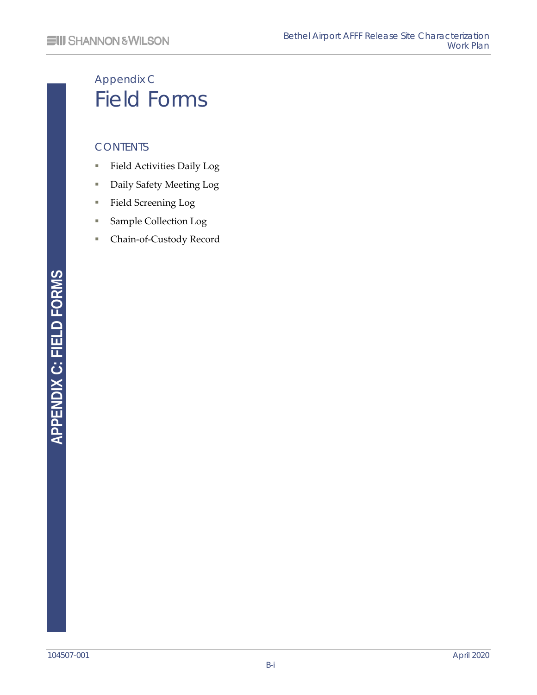# Appendix C Field Forms

#### **CONTENTS**

- Field Activities Daily Log
- Daily Safety Meeting Log
- Field Screening Log
- Sample Collection Log
- Chain-of-Custody Record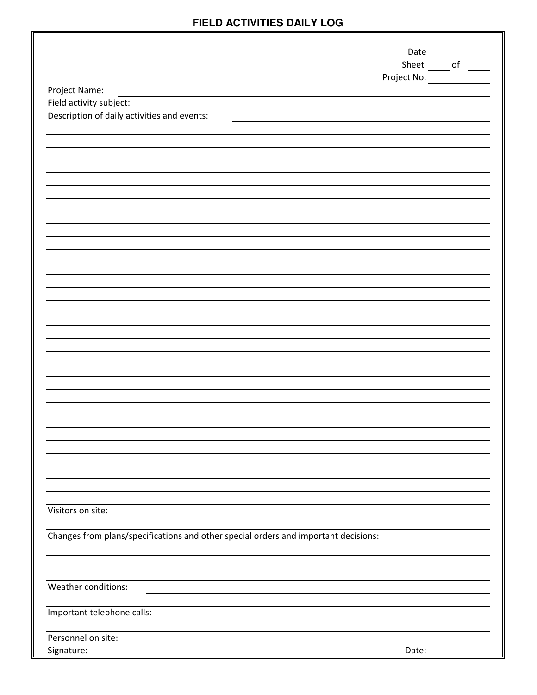## **FIELD ACTIVITIES DAILY LOG**

|                                                                                     | Date        |            |
|-------------------------------------------------------------------------------------|-------------|------------|
|                                                                                     | Sheet       | $\circ$ of |
|                                                                                     | Project No. |            |
| Project Name:                                                                       |             |            |
| Field activity subject:                                                             |             |            |
| Description of daily activities and events:                                         |             |            |
|                                                                                     |             |            |
|                                                                                     |             |            |
|                                                                                     |             |            |
|                                                                                     |             |            |
|                                                                                     |             |            |
|                                                                                     |             |            |
|                                                                                     |             |            |
|                                                                                     |             |            |
|                                                                                     |             |            |
|                                                                                     |             |            |
|                                                                                     |             |            |
|                                                                                     |             |            |
|                                                                                     |             |            |
|                                                                                     |             |            |
|                                                                                     |             |            |
|                                                                                     |             |            |
|                                                                                     |             |            |
|                                                                                     |             |            |
|                                                                                     |             |            |
|                                                                                     |             |            |
|                                                                                     |             |            |
|                                                                                     |             |            |
|                                                                                     |             |            |
|                                                                                     |             |            |
|                                                                                     |             |            |
|                                                                                     |             |            |
|                                                                                     |             |            |
|                                                                                     |             |            |
| Visitors on site:                                                                   |             |            |
|                                                                                     |             |            |
| Changes from plans/specifications and other special orders and important decisions: |             |            |
|                                                                                     |             |            |
|                                                                                     |             |            |
|                                                                                     |             |            |
| Weather conditions:                                                                 |             |            |
|                                                                                     |             |            |
| Important telephone calls:                                                          |             |            |
|                                                                                     |             |            |
| Personnel on site:                                                                  |             |            |
| Signature:                                                                          | Date:       |            |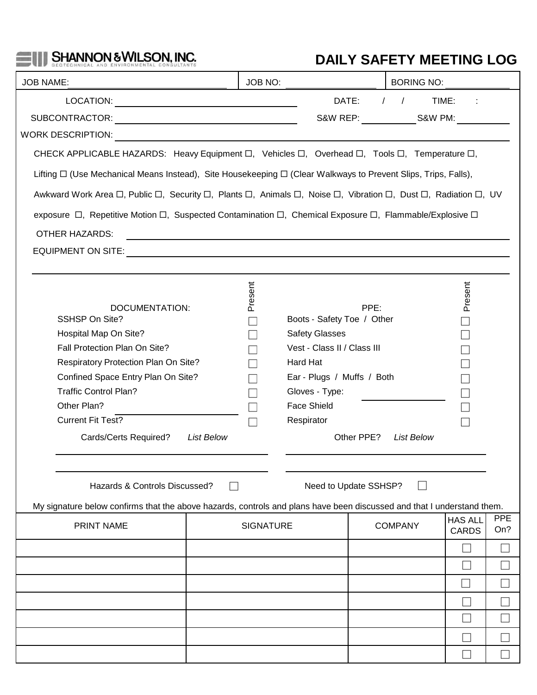# SHANNON & WILSON, INC.

 $-10$ 

# **DAILY SAFETY MEETING LOG**

| <b>JOB NAME:</b>                                                                                                                                                                                                                                                                                                     |                   | JOB NO:                                                                                                              |                                                                                                                                                                                                             |                    | <b>BORING NO:</b>                              |                                |                   |
|----------------------------------------------------------------------------------------------------------------------------------------------------------------------------------------------------------------------------------------------------------------------------------------------------------------------|-------------------|----------------------------------------------------------------------------------------------------------------------|-------------------------------------------------------------------------------------------------------------------------------------------------------------------------------------------------------------|--------------------|------------------------------------------------|--------------------------------|-------------------|
|                                                                                                                                                                                                                                                                                                                      |                   |                                                                                                                      | DATE:                                                                                                                                                                                                       |                    | $\left  \begin{array}{cc} \end{array} \right $ | TIME:                          |                   |
|                                                                                                                                                                                                                                                                                                                      |                   |                                                                                                                      |                                                                                                                                                                                                             |                    | S&W REP: S&W PM:                               |                                |                   |
|                                                                                                                                                                                                                                                                                                                      |                   |                                                                                                                      |                                                                                                                                                                                                             |                    |                                                |                                |                   |
| CHECK APPLICABLE HAZARDS: Heavy Equipment □, Vehicles □, Overhead □, Tools □, Temperature □,                                                                                                                                                                                                                         |                   |                                                                                                                      |                                                                                                                                                                                                             |                    |                                                |                                |                   |
| Lifting $\Box$ (Use Mechanical Means Instead), Site Housekeeping $\Box$ (Clear Walkways to Prevent Slips, Trips, Falls),                                                                                                                                                                                             |                   |                                                                                                                      |                                                                                                                                                                                                             |                    |                                                |                                |                   |
| Awkward Work Area $\Box$ , Public $\Box$ , Security $\Box$ , Plants $\Box$ , Animals $\Box$ , Noise $\Box$ , Vibration $\Box$ , Dust $\Box$ , Radiation $\Box$ , UV                                                                                                                                                  |                   |                                                                                                                      |                                                                                                                                                                                                             |                    |                                                |                                |                   |
| exposure □, Repetitive Motion □, Suspected Contamination □, Chemical Exposure □, Flammable/Explosive □                                                                                                                                                                                                               |                   |                                                                                                                      |                                                                                                                                                                                                             |                    |                                                |                                |                   |
| <b>OTHER HAZARDS:</b>                                                                                                                                                                                                                                                                                                |                   | <u> 1989 - Johann Barbara, martxa alemaniar argamento de la contrada de la contrada de la contrada de la contrad</u> |                                                                                                                                                                                                             |                    |                                                |                                |                   |
| <b>EQUIPMENT ON SITE:</b>                                                                                                                                                                                                                                                                                            |                   | <u> 1989 - Johann Barn, mars ann an t-Amhainn an t-Amhainn an t-Amhainn an t-Amhainn an t-Amhainn an t-Amhainn a</u> |                                                                                                                                                                                                             |                    |                                                |                                |                   |
|                                                                                                                                                                                                                                                                                                                      |                   |                                                                                                                      |                                                                                                                                                                                                             |                    |                                                |                                |                   |
| DOCUMENTATION:<br><b>SSHSP On Site?</b><br>Hospital Map On Site?<br>Fall Protection Plan On Site?<br>Respiratory Protection Plan On Site?<br>Confined Space Entry Plan On Site?<br><b>Traffic Control Plan?</b><br>Other Plan?<br><b>Current Fit Test?</b><br>Cards/Certs Required?<br>Hazards & Controls Discussed? | <b>List Below</b> | Present                                                                                                              | Boots - Safety Toe / Other<br><b>Safety Glasses</b><br>Vest - Class II / Class III<br>Hard Hat<br>Ear - Plugs / Muffs / Both<br>Gloves - Type:<br><b>Face Shield</b><br>Respirator<br>Need to Update SSHSP? | PPE:<br>Other PPE? | <b>List Below</b>                              | Present                        |                   |
| My signature below confirms that the above hazards, controls and plans have been discussed and that I understand them.                                                                                                                                                                                               |                   |                                                                                                                      |                                                                                                                                                                                                             |                    |                                                |                                |                   |
| <b>PRINT NAME</b>                                                                                                                                                                                                                                                                                                    |                   | <b>SIGNATURE</b>                                                                                                     |                                                                                                                                                                                                             |                    | <b>COMPANY</b>                                 | <b>HAS ALL</b><br><b>CARDS</b> | <b>PPE</b><br>On? |
|                                                                                                                                                                                                                                                                                                                      |                   |                                                                                                                      |                                                                                                                                                                                                             |                    |                                                |                                |                   |
|                                                                                                                                                                                                                                                                                                                      |                   |                                                                                                                      |                                                                                                                                                                                                             |                    |                                                |                                |                   |
|                                                                                                                                                                                                                                                                                                                      |                   |                                                                                                                      |                                                                                                                                                                                                             |                    |                                                |                                |                   |
|                                                                                                                                                                                                                                                                                                                      |                   |                                                                                                                      |                                                                                                                                                                                                             |                    |                                                |                                |                   |
|                                                                                                                                                                                                                                                                                                                      |                   |                                                                                                                      |                                                                                                                                                                                                             |                    |                                                |                                |                   |
|                                                                                                                                                                                                                                                                                                                      |                   |                                                                                                                      |                                                                                                                                                                                                             |                    |                                                |                                |                   |
|                                                                                                                                                                                                                                                                                                                      |                   |                                                                                                                      |                                                                                                                                                                                                             |                    |                                                |                                |                   |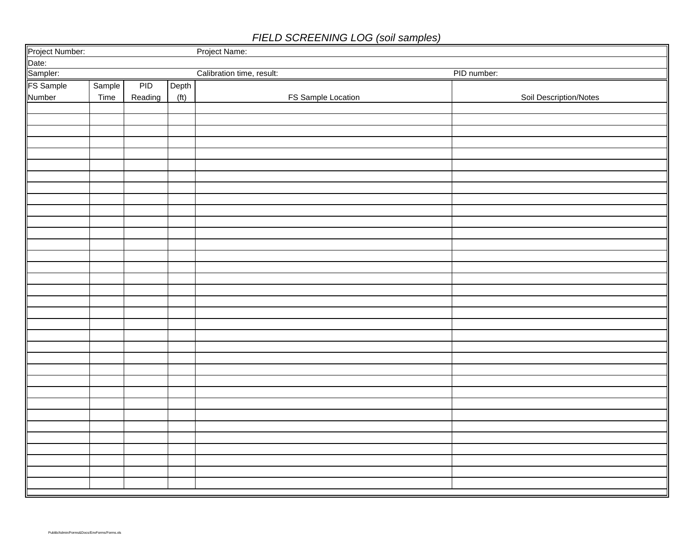## *FIELD SCREENING LOG (soil samples)*

|                                                   |        |         |       | Project Name:             |                        |
|---------------------------------------------------|--------|---------|-------|---------------------------|------------------------|
|                                                   |        |         |       |                           |                        |
|                                                   |        |         |       | Calibration time, result: | PID number:            |
| Project Number:<br>Date:<br>Sampler:<br>FS Sample | Sample | PID     | Depth |                           |                        |
| Number                                            | Time   | Reading | (tt)  | FS Sample Location        | Soil Description/Notes |
|                                                   |        |         |       |                           |                        |
|                                                   |        |         |       |                           |                        |
|                                                   |        |         |       |                           |                        |
|                                                   |        |         |       |                           |                        |
|                                                   |        |         |       |                           |                        |
|                                                   |        |         |       |                           |                        |
|                                                   |        |         |       |                           |                        |
|                                                   |        |         |       |                           |                        |
|                                                   |        |         |       |                           |                        |
|                                                   |        |         |       |                           |                        |
|                                                   |        |         |       |                           |                        |
|                                                   |        |         |       |                           |                        |
|                                                   |        |         |       |                           |                        |
|                                                   |        |         |       |                           |                        |
|                                                   |        |         |       |                           |                        |
|                                                   |        |         |       |                           |                        |
|                                                   |        |         |       |                           |                        |
|                                                   |        |         |       |                           |                        |
|                                                   |        |         |       |                           |                        |
|                                                   |        |         |       |                           |                        |
|                                                   |        |         |       |                           |                        |
|                                                   |        |         |       |                           |                        |
|                                                   |        |         |       |                           |                        |
|                                                   |        |         |       |                           |                        |
|                                                   |        |         |       |                           |                        |
|                                                   |        |         |       |                           |                        |
|                                                   |        |         |       |                           |                        |
|                                                   |        |         |       |                           |                        |
|                                                   |        |         |       |                           |                        |
|                                                   |        |         |       |                           |                        |
|                                                   |        |         |       |                           |                        |
|                                                   |        |         |       |                           |                        |
|                                                   |        |         |       |                           |                        |
|                                                   |        |         |       |                           |                        |
|                                                   |        |         |       |                           |                        |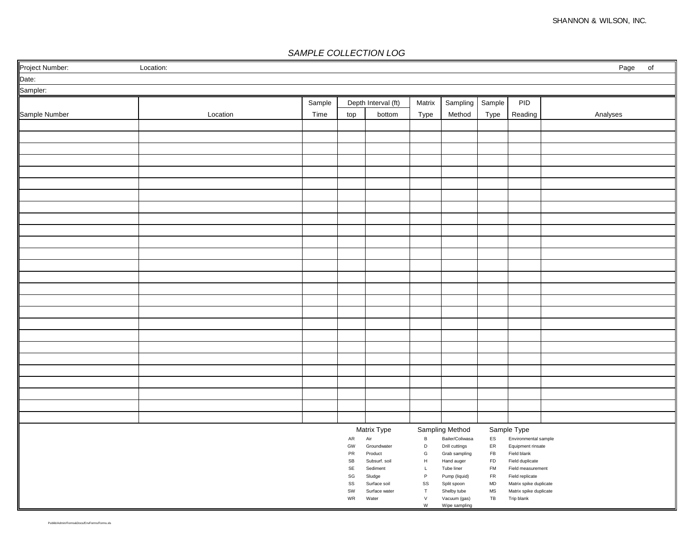#### *SAMPLE COLLECTION LOG*

| Project Number: | Location: |        |                                    |                        |                        |                                 |                            |                                      | Page<br>of |
|-----------------|-----------|--------|------------------------------------|------------------------|------------------------|---------------------------------|----------------------------|--------------------------------------|------------|
| Date:           |           |        |                                    |                        |                        |                                 |                            |                                      |            |
| Sampler:        |           |        |                                    |                        |                        |                                 |                            |                                      |            |
|                 |           | Sample |                                    | Depth Interval (ft)    | Matrix                 | Sampling   Sample               |                            | PID                                  |            |
| Sample Number   | Location  | Time   | top                                | bottom                 | Type                   | Method                          | Type                       | Reading                              | Analyses   |
|                 |           |        |                                    |                        |                        |                                 |                            |                                      |            |
|                 |           |        |                                    |                        |                        |                                 |                            |                                      |            |
|                 |           |        |                                    |                        |                        |                                 |                            |                                      |            |
|                 |           |        |                                    |                        |                        |                                 |                            |                                      |            |
|                 |           |        |                                    |                        |                        |                                 |                            |                                      |            |
|                 |           |        |                                    |                        |                        |                                 |                            |                                      |            |
|                 |           |        |                                    |                        |                        |                                 |                            |                                      |            |
|                 |           |        |                                    |                        |                        |                                 |                            |                                      |            |
|                 |           |        |                                    |                        |                        |                                 |                            |                                      |            |
|                 |           |        |                                    |                        |                        |                                 |                            |                                      |            |
|                 |           |        |                                    |                        |                        |                                 |                            |                                      |            |
|                 |           |        |                                    |                        |                        |                                 |                            |                                      |            |
|                 |           |        |                                    |                        |                        |                                 |                            |                                      |            |
|                 |           |        |                                    |                        |                        |                                 |                            |                                      |            |
|                 |           |        |                                    |                        |                        |                                 |                            |                                      |            |
|                 |           |        |                                    |                        |                        |                                 |                            |                                      |            |
|                 |           |        |                                    |                        |                        |                                 |                            |                                      |            |
|                 |           |        |                                    |                        |                        |                                 |                            |                                      |            |
|                 |           |        |                                    |                        |                        |                                 |                            |                                      |            |
|                 |           |        |                                    |                        |                        |                                 |                            |                                      |            |
|                 |           |        |                                    |                        |                        |                                 |                            |                                      |            |
|                 |           |        |                                    |                        |                        |                                 |                            |                                      |            |
|                 |           |        |                                    |                        |                        |                                 |                            |                                      |            |
|                 |           |        |                                    |                        |                        |                                 |                            |                                      |            |
|                 |           |        |                                    |                        |                        |                                 |                            |                                      |            |
|                 |           |        |                                    |                        |                        |                                 |                            |                                      |            |
|                 |           |        |                                    | Matrix Type            |                        | Sampling Method                 |                            | Sample Type                          |            |
|                 |           |        | ${\sf AR}$                         | Air                    | $\, {\bf B}$           | Bailer/Coliwasa                 | ES                         | Environmental sample                 |            |
|                 |           |        | GW<br>PR                           | Groundwater<br>Product | D<br>G                 | Drill cuttings<br>Grab sampling | ${\sf ER}$<br>FB           | Equipment rinsate<br>Field blank     |            |
|                 |           |        | SB                                 | Subsurf. soil          | H                      | Hand auger                      | <b>FD</b>                  | Field duplicate                      |            |
|                 |           |        | SE<br>$\operatorname{\mathsf{SG}}$ | Sediment<br>Sludge     | L<br>P                 | Tube liner<br>Pump (liquid)     | <b>FM</b><br><b>FR</b>     | Field measurement<br>Field replicate |            |
|                 |           |        | SS                                 | Surface soil           | SS                     | Split spoon                     | MD                         | Matrix spike duplicate               |            |
|                 |           |        | SW<br>WR                           | Surface water<br>Water | $\top$<br>$\mathsf{V}$ | Shelby tube<br>Vacuum (gas)     | $\mathsf{MS}\xspace$<br>TB | Matrix spike duplicate<br>Trip blank |            |
|                 |           |        |                                    |                        | W                      | Wipe sampling                   |                            |                                      |            |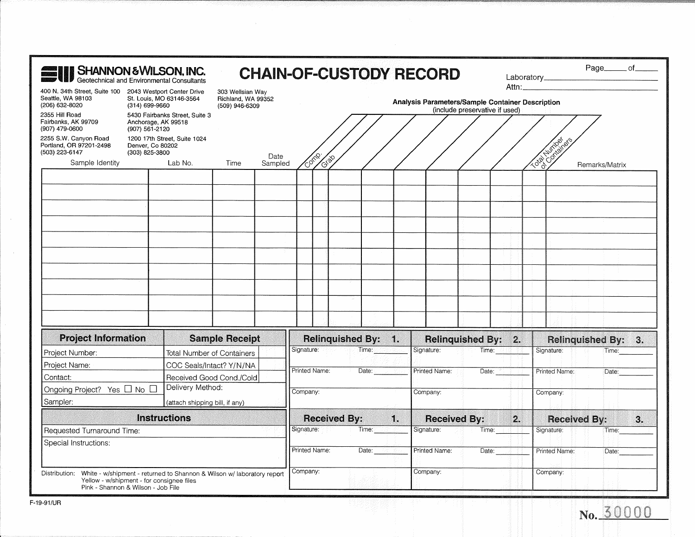| <b>SHANNON &amp; WILSON, INC.</b><br>Geotechnical and Environmental Consultants                  |                                       |                                                                        |                                                          |         |                                                                                    |                      |               |                                                                        |  | <b>CHAIN-OF-CUSTODY RECORD</b> |                     |                    |                                            | Page______ of______                 |    |
|--------------------------------------------------------------------------------------------------|---------------------------------------|------------------------------------------------------------------------|----------------------------------------------------------|---------|------------------------------------------------------------------------------------|----------------------|---------------|------------------------------------------------------------------------|--|--------------------------------|---------------------|--------------------|--------------------------------------------|-------------------------------------|----|
| 400 N. 34th Street, Suite 100 2043 Westport Center Drive<br>Seattle, WA 98103<br>(206) 632-8020  | (314) 699-9660                        | St. Louis, MO 63146-3564                                               | 303 Wellsian Way<br>Richland, WA 99352<br>(509) 946-6309 |         | Analysis Parameters/Sample Container Description<br>(include preservative if used) |                      |               |                                                                        |  |                                |                     |                    |                                            |                                     |    |
| 2355 Hill Road<br>Fairbanks, AK 99709<br>(907) 479-0600                                          | Anchorage, AK 99518<br>(907) 561-2120 | 5430 Fairbanks Street, Suite 3                                         |                                                          |         |                                                                                    |                      |               |                                                                        |  |                                |                     |                    |                                            |                                     |    |
| 2255 S.W. Canyon Road<br>Portland, OR 97201-2498<br>(503) 223-6147                               | Denver, Co 80202<br>(303) 825-3800    | 1200 17th Street, Suite 1024                                           |                                                          | Date    |                                                                                    |                      |               |                                                                        |  |                                |                     |                    | <b>Humber</b>                              |                                     |    |
| Sample Identity                                                                                  |                                       | Lab No.                                                                | Time                                                     | Sampled |                                                                                    | Conne<br><b>GIBO</b> |               |                                                                        |  |                                |                     |                    | $\cdot$ $\mathrm{C}_{\mathrm{Q}}$<br>Total | Remarks/Matrix                      |    |
|                                                                                                  |                                       |                                                                        |                                                          |         |                                                                                    |                      |               |                                                                        |  |                                |                     |                    |                                            |                                     |    |
|                                                                                                  |                                       |                                                                        |                                                          |         |                                                                                    |                      |               |                                                                        |  |                                |                     |                    |                                            |                                     |    |
|                                                                                                  |                                       |                                                                        |                                                          |         |                                                                                    |                      |               |                                                                        |  |                                |                     |                    |                                            |                                     |    |
|                                                                                                  |                                       |                                                                        |                                                          |         |                                                                                    |                      |               |                                                                        |  |                                |                     |                    |                                            |                                     |    |
|                                                                                                  |                                       |                                                                        |                                                          |         |                                                                                    |                      |               |                                                                        |  |                                |                     |                    |                                            |                                     |    |
|                                                                                                  |                                       |                                                                        |                                                          |         |                                                                                    |                      |               |                                                                        |  |                                |                     |                    |                                            |                                     |    |
|                                                                                                  |                                       |                                                                        |                                                          |         |                                                                                    |                      |               |                                                                        |  |                                |                     |                    |                                            |                                     |    |
|                                                                                                  |                                       |                                                                        |                                                          |         |                                                                                    |                      |               |                                                                        |  |                                |                     |                    |                                            |                                     |    |
| <b>Project Information</b>                                                                       |                                       |                                                                        |                                                          |         |                                                                                    |                      |               |                                                                        |  |                                |                     |                    |                                            |                                     |    |
| Project Number:                                                                                  |                                       | <b>Total Number of Containers</b>                                      | <b>Sample Receipt</b>                                    |         |                                                                                    |                      |               | <b>Relinquished By: 1.</b><br>Signature: Contract Time: Contract Time: |  | Signature:                     | Relinquished By: 2. | Time:              | Signature:                                 | <b>Relinquished By: 3.</b><br>Time: |    |
| Project Name:                                                                                    |                                       | COC Seals/Intact? Y/N/NA                                               |                                                          |         |                                                                                    |                      |               |                                                                        |  |                                |                     |                    |                                            |                                     |    |
| Contact:                                                                                         |                                       | Received Good Cond./Cold                                               |                                                          |         | Printed Name:                                                                      |                      |               | Date:                                                                  |  | Printed Name:                  |                     | Date: <b>Date:</b> | Printed Name:                              | Date:                               |    |
| Ongoing Project? Yes □ No □                                                                      |                                       | Delivery Method:                                                       |                                                          |         | Company:                                                                           |                      |               |                                                                        |  | Company:                       |                     |                    | Company:                                   |                                     |    |
| Sampler:                                                                                         |                                       | (attach shipping bill, if any)                                         |                                                          |         |                                                                                    |                      |               |                                                                        |  |                                |                     |                    |                                            |                                     |    |
|                                                                                                  | <b>Instructions</b>                   |                                                                        |                                                          |         |                                                                                    |                      |               | Received By: 1.                                                        |  |                                | <b>Received By:</b> | 2.                 | <b>Received By:</b>                        |                                     | 3. |
|                                                                                                  | Requested Turnaround Time:            |                                                                        |                                                          |         |                                                                                    | Signature:           |               | Time:                                                                  |  | Signature:                     |                     | Time: 1            | Signature:                                 | Time:                               |    |
| Special Instructions:                                                                            |                                       |                                                                        |                                                          |         |                                                                                    |                      | Printed Name: | Date:                                                                  |  | Printed Name:                  |                     |                    | Date: Printed Name:                        | Date:                               |    |
| Distribution:<br>Yellow - w/shipment - for consignee files<br>Pink - Shannon & Wilson - Job File |                                       | White - w/shipment - returned to Shannon & Wilson w/ laboratory report |                                                          |         | Company:                                                                           |                      |               |                                                                        |  | Company:                       |                     |                    | Company:                                   |                                     |    |

 $\sim$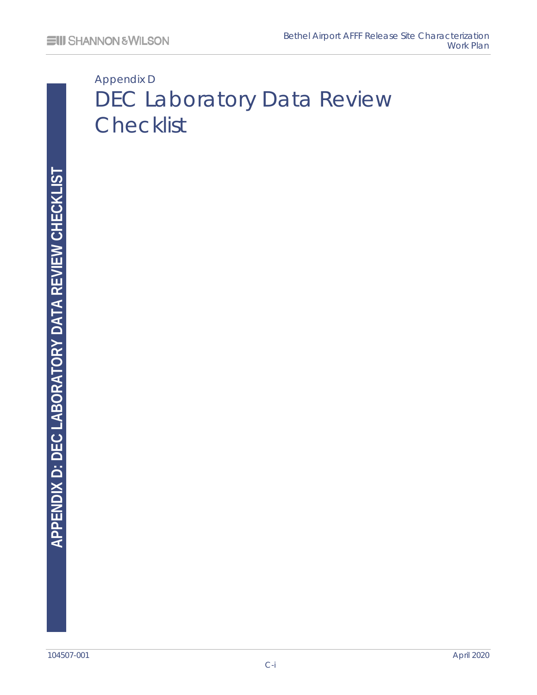# Appendix D DEC Laboratory Data Review **Checklist**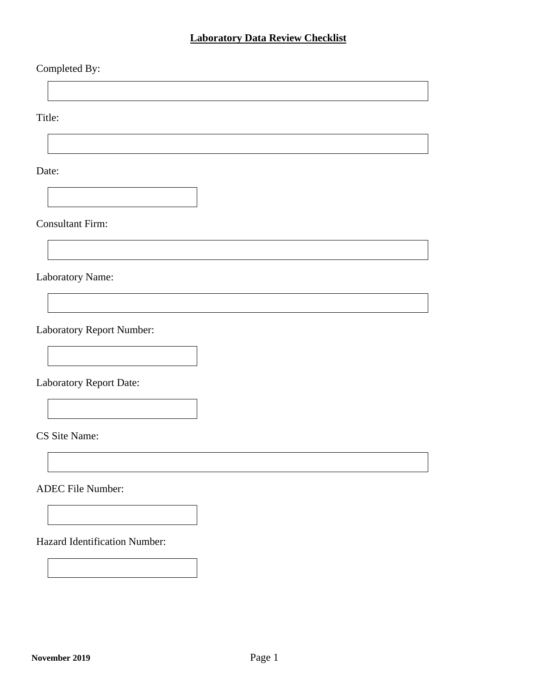#### **Laboratory Data Review Checklist**

#### Completed By:

Title:

Date:

Consultant Firm:

Laboratory Name:

Laboratory Report Number:

<span id="page-49-0"></span>Laboratory Report Date:

CS Site Name:

ADEC File Number:

Hazard Identification Number: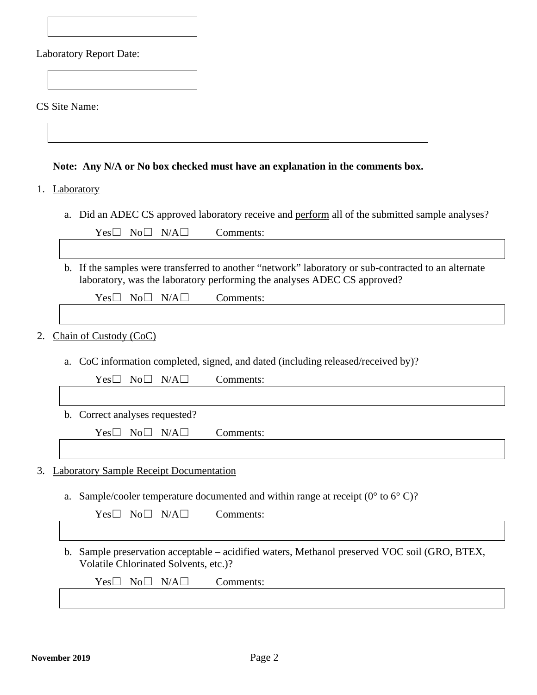| <b>Laboratory Report Date:</b> |  |
|--------------------------------|--|
|--------------------------------|--|

[CS Site](#page-49-0) Name:

**Note: Any N/A or No box checked must have an explanation in the comments box.**

#### 1. Laboratory

a. Did an ADEC CS approved laboratory receive and perform all of the submitted sample analyses?

|    | $Yes\square$<br>$No\square$ $N/A\square$<br>Comments:                                                                                                                            |
|----|----------------------------------------------------------------------------------------------------------------------------------------------------------------------------------|
|    |                                                                                                                                                                                  |
|    | b. If the samples were transferred to another "network" laboratory or sub-contracted to an alternate<br>laboratory, was the laboratory performing the analyses ADEC CS approved? |
|    | $Yes\square$<br>No <sub>1</sub><br>N/A<br>Comments:                                                                                                                              |
|    |                                                                                                                                                                                  |
| 2. | Chain of Custody (CoC)                                                                                                                                                           |
|    | CoC information completed, signed, and dated (including released/received by)?<br>a.                                                                                             |
|    | $No\square$<br>N/A<br>$Yes \Box$<br>Comments:                                                                                                                                    |
|    |                                                                                                                                                                                  |
|    | b. Correct analyses requested?                                                                                                                                                   |
|    | $No\square$<br>N/A<br>$Yes\square$<br>Comments:                                                                                                                                  |
|    |                                                                                                                                                                                  |
| 3. | <b>Laboratory Sample Receipt Documentation</b>                                                                                                                                   |
|    | a. Sample/cooler temperature documented and within range at receipt ( $0^{\circ}$ to $6^{\circ}$ C)?                                                                             |
|    | Comments:<br>$No\square$<br>$N/A \Box$<br>$Yes \Box$                                                                                                                             |
|    |                                                                                                                                                                                  |
|    | b. Sample preservation acceptable – acidified waters, Methanol preserved VOC soil (GRO, BTEX,<br>Volatile Chlorinated Solvents, etc.)?                                           |

Yes□ No□ N/A□ Comments: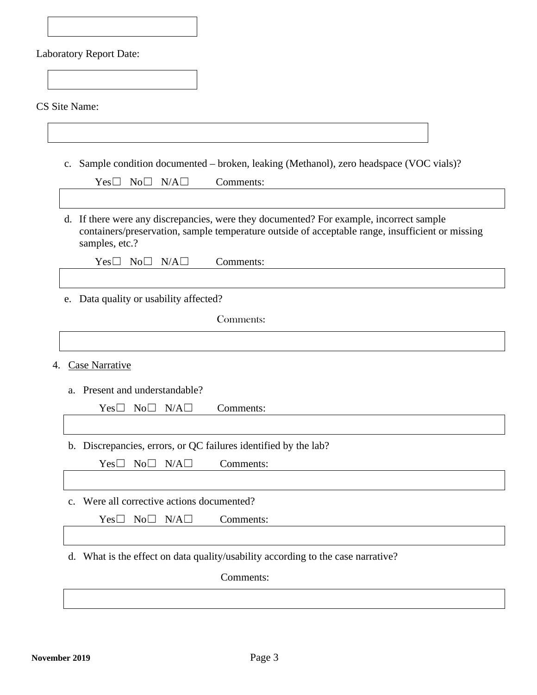|  |  | CS Site Name: |
|--|--|---------------|
|--|--|---------------|

c. Sample condition documented – broken, leaking (Methanol), zero headspace (VOC vials)?

| $Yes \Box No \Box N/A \Box$            | Comments:                                                                                                                                                                                   |
|----------------------------------------|---------------------------------------------------------------------------------------------------------------------------------------------------------------------------------------------|
|                                        |                                                                                                                                                                                             |
| samples, etc.?                         | d. If there were any discrepancies, were they documented? For example, incorrect sample<br>containers/preservation, sample temperature outside of acceptable range, insufficient or missing |
| $Yes \Box No \Box N/A \Box$            | Comments:                                                                                                                                                                                   |
|                                        |                                                                                                                                                                                             |
| e. Data quality or usability affected? |                                                                                                                                                                                             |
|                                        | Comments:                                                                                                                                                                                   |
|                                        |                                                                                                                                                                                             |
|                                        |                                                                                                                                                                                             |

4. Case Narrative

a. Present and understandable?

| $Yes \Box No \Box N/A \Box$ | Comments: |
|-----------------------------|-----------|
|-----------------------------|-----------|

b. Discrepancies, errors, or QC failures identified by the lab?

Yes□ No□ N/A□ Comments:

c. Were all corrective actions documented?

Yes□ No□ N/A□ Comments:

d. What is the effect on data quality/usability according to the case narrative?

Comments: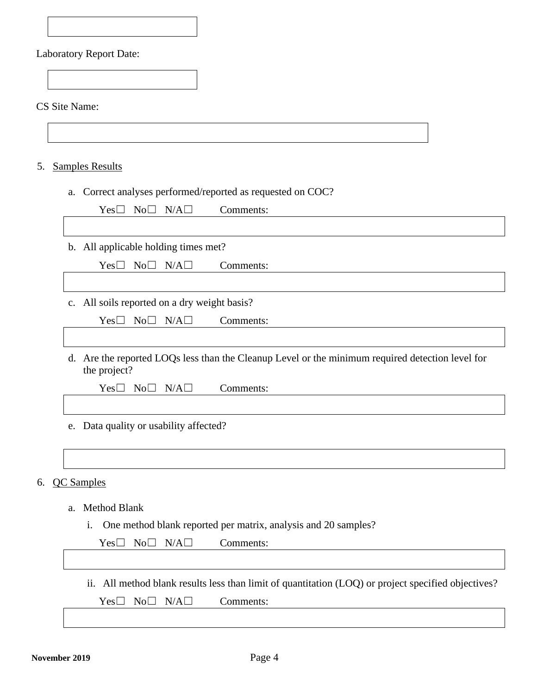[CS Site](#page-49-0) Name:

5. Samples Results

a. Correct analyses performed/reported as requested on COC?

Yes□ No□ N/A□ Comments:

b. All applicable holding times met?

Yes□ No□ N/A□ Comments:

c. All soils reported on a dry weight basis?

Yes□ No□ N/A□ Comments:

d. Are the reported LOQs less than the Cleanup Level or the minimum required detection level for the project?

Yes□ No□ N/A□ Comments:

e. Data quality or usability affected?

6. QC Samples

a. Method Blank

i. One method blank reported per matrix, analysis and 20 samples?

Yes□ No□ N/A□ Comments:

ii. All method blank results less than limit of quantitation (LOQ) or project specified objectives? Yes□ No□ N/A□ Comments: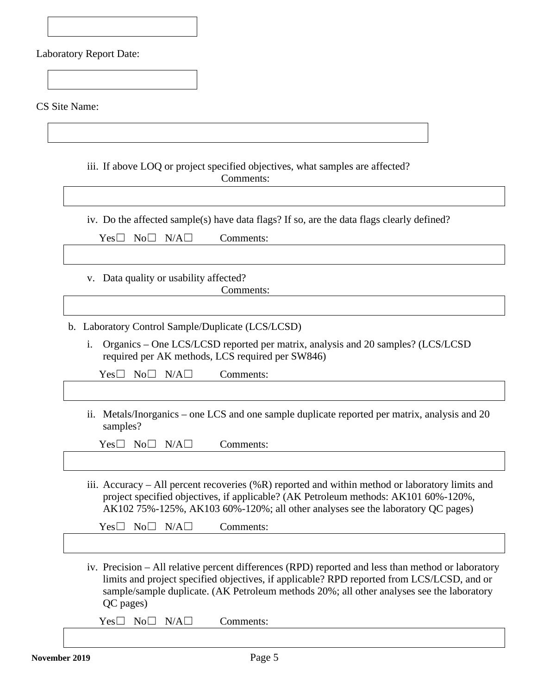[CS Site](#page-49-0) Name:

iii. If above LOQ or project specified objectives, what samples are affected? Comments:

iv. Do the affected sample(s) have data flags? If so, are the data flags clearly defined?

 $Yes \Box No \Box N/A \Box$  Comments:

v. Data quality or usability affected?

Comments:

- b. Laboratory Control Sample/Duplicate (LCS/LCSD)
	- i. Organics One LCS/LCSD reported per matrix, analysis and 20 samples? (LCS/LCSD required per AK methods, LCS required per SW846)

Yes□ No□ N/A□ Comments:

ii. Metals/Inorganics – one LCS and one sample duplicate reported per matrix, analysis and 20 samples?

Yes□ No□ N/A□ Comments:

iii. Accuracy – All percent recoveries (%R) reported and within method or laboratory limits and project specified objectives, if applicable? (AK Petroleum methods: AK101 60%-120%, AK102 75%-125%, AK103 60%-120%; all other analyses see the laboratory QC pages)

 $Yes \Box No \Box N/A \Box$  Comments:

iv. Precision – All relative percent differences (RPD) reported and less than method or laboratory limits and project specified objectives, if applicable? RPD reported from LCS/LCSD, and or sample/sample duplicate. (AK Petroleum methods 20%; all other analyses see the laboratory QC pages)

Yes□ No□ N/A□ Comments: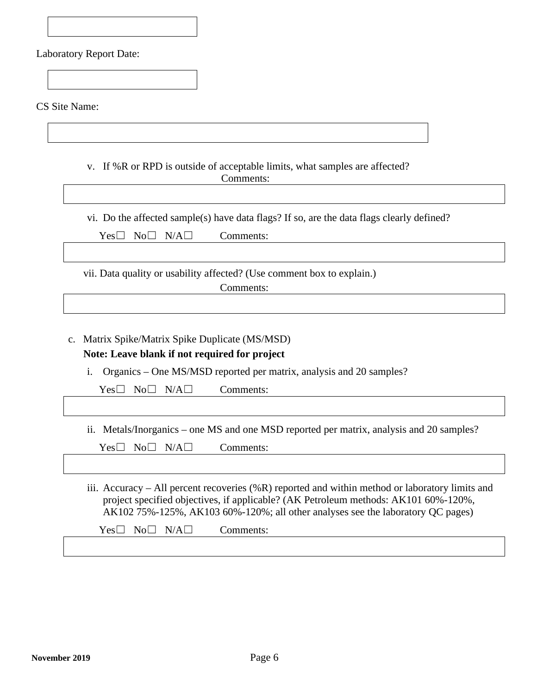[CS Site](#page-49-0) Name:

v. If %R or RPD is outside of acceptable limits, what samples are affected? Comments:

vi. Do the affected sample(s) have data flags? If so, are the data flags clearly defined?

Yes□ No□ N/A□ Comments:

vii. Data quality or usability affected? (Use comment box to explain.)

Comments:

c. Matrix Spike/Matrix Spike Duplicate (MS/MSD) **Note: Leave blank if not required for project**

i. Organics – One MS/MSD reported per matrix, analysis and 20 samples?

Yes□ No□ N/A□ Comments:

ii. Metals/Inorganics – one MS and one MSD reported per matrix, analysis and 20 samples?

Yes□ No□ N/A□ Comments:

iii. Accuracy – All percent recoveries (%R) reported and within method or laboratory limits and project specified objectives, if applicable? (AK Petroleum methods: AK101 60%-120%, AK102 75%-125%, AK103 60%-120%; all other analyses see the laboratory QC pages)

 $Yes \Box No \Box N/A \Box$  Comments: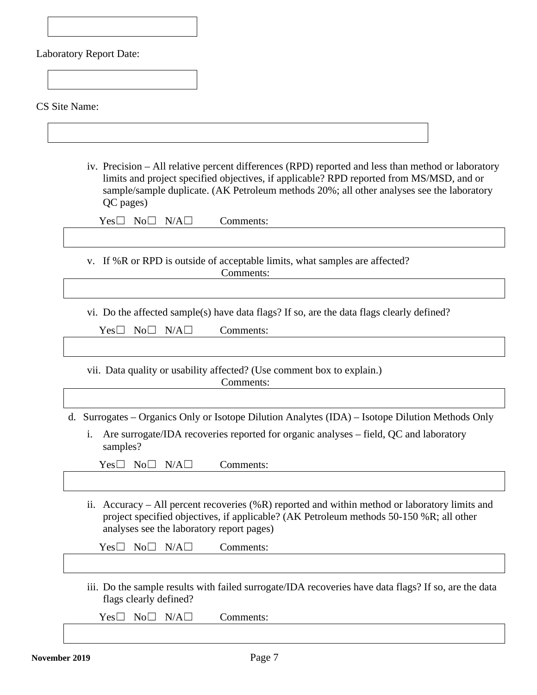|  | <b>Laboratory Report Date:</b> |
|--|--------------------------------|
|--|--------------------------------|

[CS Site](#page-49-0) Name:

iv. Precision – All relative percent differences (RPD) reported and less than method or laboratory limits and project specified objectives, if applicable? RPD reported from MS/MSD, and or sample/sample duplicate. (AK Petroleum methods 20%; all other analyses see the laboratory QC pages)

v. If %R or RPD is outside of acceptable limits, what samples are affected? Comments:

vi. Do the affected sample(s) have data flags? If so, are the data flags clearly defined?

| $Yes \Box No \Box N/A \Box$ | Comments: |
|-----------------------------|-----------|
|-----------------------------|-----------|

vii. Data quality or usability affected? (Use comment box to explain.) Comments:

d. Surrogates – Organics Only or Isotope Dilution Analytes (IDA) – Isotope Dilution Methods Only

i. Are surrogate/IDA recoveries reported for organic analyses – field, QC and laboratory samples?

 $Yes \Box No \Box N/A \Box$  Comments:

ii. Accuracy – All percent recoveries (%R) reported and within method or laboratory limits and project specified objectives, if applicable? (AK Petroleum methods 50-150 %R; all other analyses see the laboratory report pages)

Yes□ No□ N/A□ Comments:

iii. Do the sample results with failed surrogate/IDA recoveries have data flags? If so, are the data flags clearly defined?

Yes□ No□ N/A□ Comments: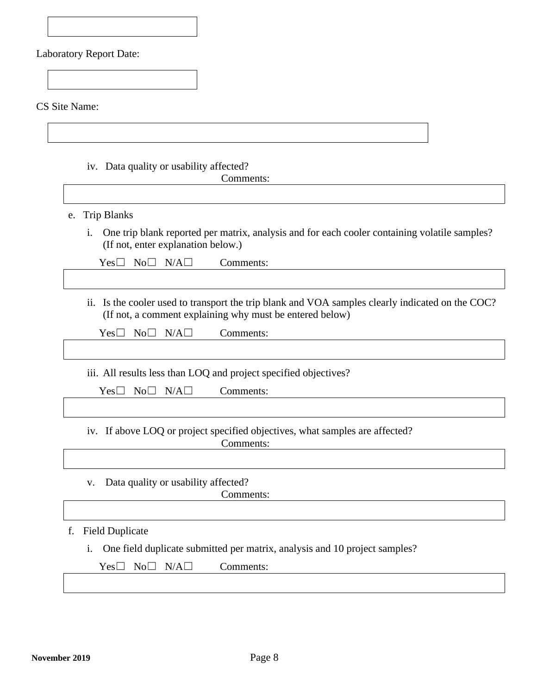[CS Site](#page-49-0) Name:

iv. Data quality or usability affected?

Comments:

- e. Trip Blanks
	- i. One trip blank reported per matrix, analysis and for each cooler containing volatile samples? (If not, enter explanation below.)

| $Yes \Box No \Box N/A \Box$<br>Comments: |
|------------------------------------------|
|                                          |

ii. Is the cooler used to transport the trip blank and VOA samples clearly indicated on the COC? (If not, a comment explaining why must be entered below)

Yes□ No□ N/A□ Comments:

iii. All results less than LOQ and project specified objectives?

Yes□ No□ N/A□ Comments:

iv. If above LOQ or project specified objectives, what samples are affected?

Comments:

v. Data quality or usability affected? Comments:

f. Field Duplicate

i. One field duplicate submitted per matrix, analysis and 10 project samples?

Yes□ No□ N/A□ Comments: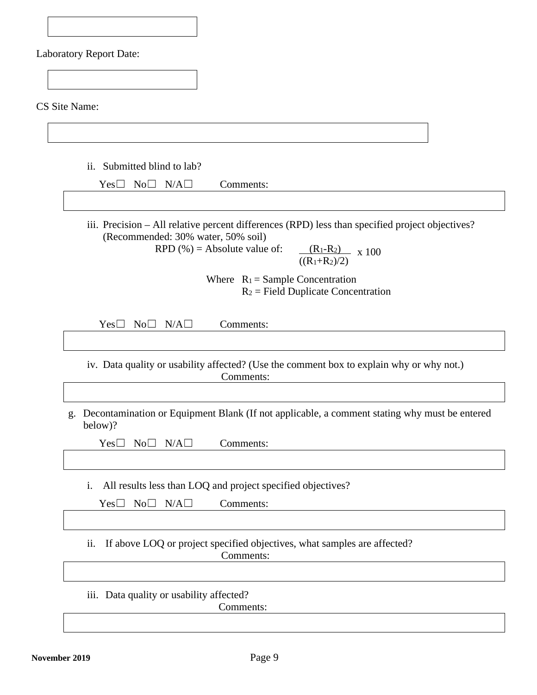[CS Site](#page-49-0) Name:

ii. Submitted blind to lab?

iii. Precision – All relative percent differences (RPD) less than specified project objectives? (Recommended: 30% water, 50% soil)

RPD  $(\%)$  = Absolute value of:  $((R_1+R_2)/2)$  $(R_1-R_2)$  x 100

> Where  $R_1 =$  Sample Concentration  $R_2$  = Field Duplicate Concentration

Yes□ No□ N/A□ Comments:

iv. Data quality or usability affected? (Use the comment box to explain why or why not.) Comments:

g. Decontamination or Equipment Blank (If not applicable, a comment stating why must be entered below)?

Yes□ No□ N/A□ Comments:

i. All results less than LOQ and project specified objectives?

Yes□ No□ N/A□ Comments:

ii. If above LOQ or project specified objectives, what samples are affected?

Comments:

iii. Data quality or usability affected?

Comments: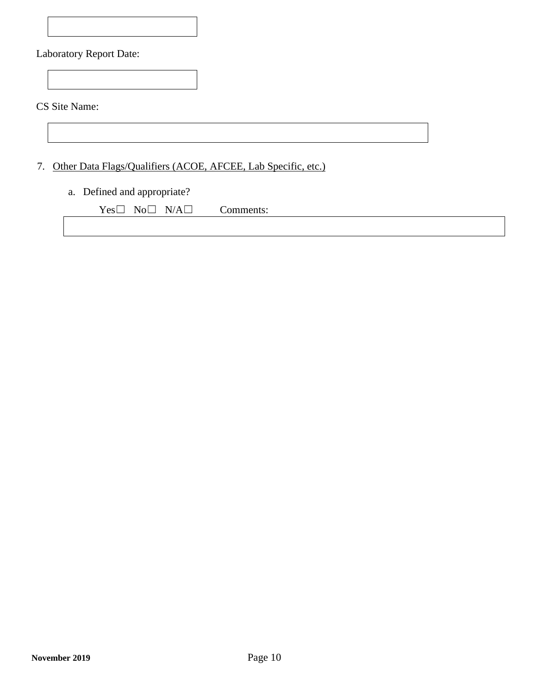[CS Site](#page-49-0) Name:

7. Other Data Flags/Qualifiers (ACOE, AFCEE, Lab Specific, etc.)

#### a. Defined and appropriate?

 $Yes \Box No \Box N/A \Box$  Comments: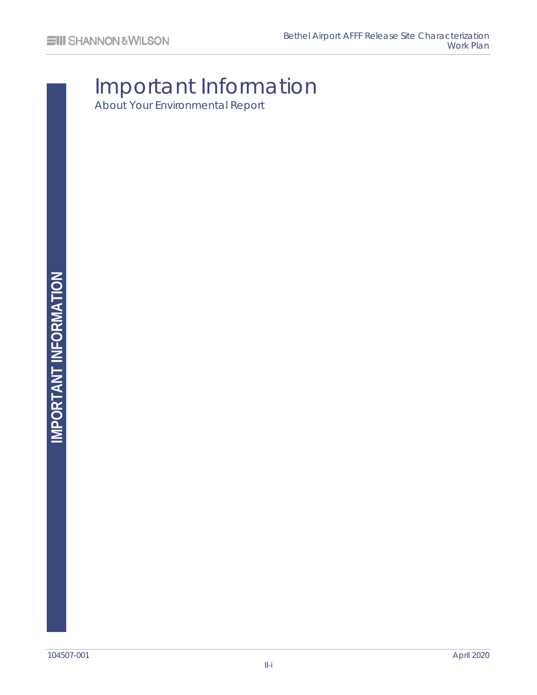# Important Information About Your Environmental Report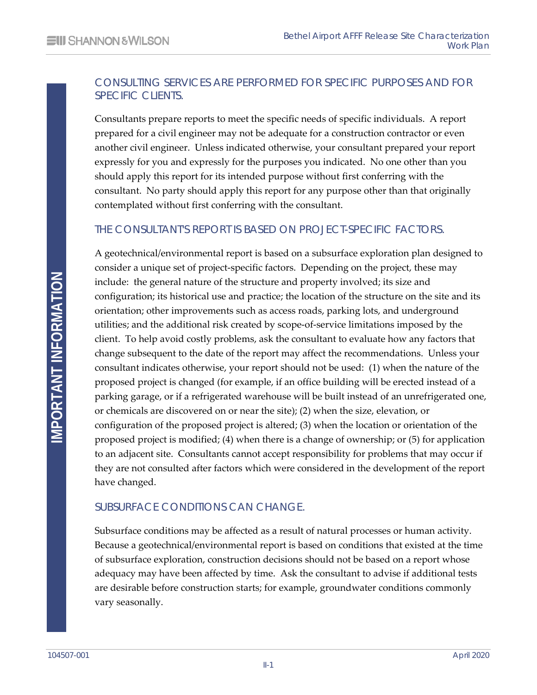#### CONSULTING SERVICES ARE PERFORMED FOR SPECIFIC PURPOSES AND FOR SPECIFIC CLIENTS.

Consultants prepare reports to meet the specific needs of specific individuals. A report prepared for a civil engineer may not be adequate for a construction contractor or even another civil engineer. Unless indicated otherwise, your consultant prepared your report expressly for you and expressly for the purposes you indicated. No one other than you should apply this report for its intended purpose without first conferring with the consultant. No party should apply this report for any purpose other than that originally contemplated without first conferring with the consultant.

#### THE CONSULTANT'S REPORT IS BASED ON PROJECT-SPECIFIC FACTORS.

A geotechnical/environmental report is based on a subsurface exploration plan designed to consider a unique set of project-specific factors. Depending on the project, these may include: the general nature of the structure and property involved; its size and configuration; its historical use and practice; the location of the structure on the site and its orientation; other improvements such as access roads, parking lots, and underground utilities; and the additional risk created by scope-of-service limitations imposed by the client. To help avoid costly problems, ask the consultant to evaluate how any factors that change subsequent to the date of the report may affect the recommendations. Unless your consultant indicates otherwise, your report should not be used: (1) when the nature of the proposed project is changed (for example, if an office building will be erected instead of a parking garage, or if a refrigerated warehouse will be built instead of an unrefrigerated one, or chemicals are discovered on or near the site); (2) when the size, elevation, or configuration of the proposed project is altered; (3) when the location or orientation of the proposed project is modified; (4) when there is a change of ownership; or (5) for application to an adjacent site. Consultants cannot accept responsibility for problems that may occur if they are not consulted after factors which were considered in the development of the report have changed.

#### SUBSURFACE CONDITIONS CAN CHANGE.

Subsurface conditions may be affected as a result of natural processes or human activity. Because a geotechnical/environmental report is based on conditions that existed at the time of subsurface exploration, construction decisions should not be based on a report whose adequacy may have been affected by time. Ask the consultant to advise if additional tests are desirable before construction starts; for example, groundwater conditions commonly vary seasonally.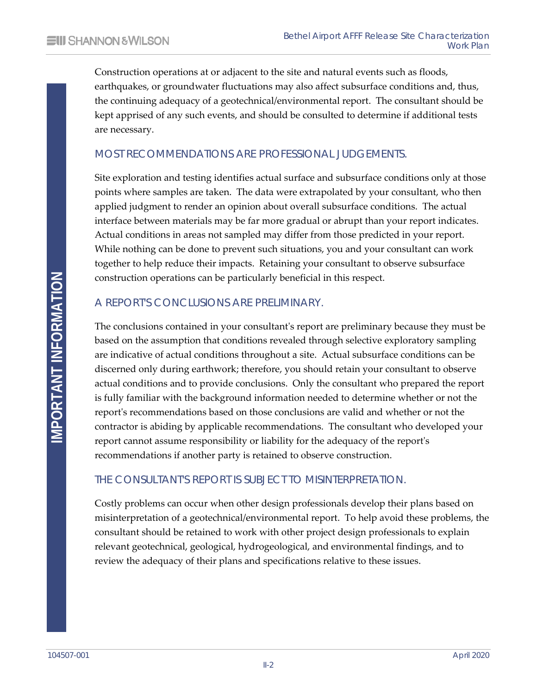Construction operations at or adjacent to the site and natural events such as floods, earthquakes, or groundwater fluctuations may also affect subsurface conditions and, thus, the continuing adequacy of a geotechnical/environmental report. The consultant should be kept apprised of any such events, and should be consulted to determine if additional tests are necessary.

#### MOST RECOMMENDATIONS ARE PROFESSIONAL JUDGEMENTS.

Site exploration and testing identifies actual surface and subsurface conditions only at those points where samples are taken. The data were extrapolated by your consultant, who then applied judgment to render an opinion about overall subsurface conditions. The actual interface between materials may be far more gradual or abrupt than your report indicates. Actual conditions in areas not sampled may differ from those predicted in your report. While nothing can be done to prevent such situations, you and your consultant can work together to help reduce their impacts. Retaining your consultant to observe subsurface construction operations can be particularly beneficial in this respect.

#### A REPORT'S CONCLUSIONS ARE PRELIMINARY.

The conclusions contained in your consultant's report are preliminary because they must be based on the assumption that conditions revealed through selective exploratory sampling are indicative of actual conditions throughout a site. Actual subsurface conditions can be discerned only during earthwork; therefore, you should retain your consultant to observe actual conditions and to provide conclusions. Only the consultant who prepared the report is fully familiar with the background information needed to determine whether or not the report's recommendations based on those conclusions are valid and whether or not the contractor is abiding by applicable recommendations. The consultant who developed your report cannot assume responsibility or liability for the adequacy of the report's recommendations if another party is retained to observe construction.

#### THE CONSULTANT'S REPORT IS SUBJECT TO MISINTERPRETATION.

Costly problems can occur when other design professionals develop their plans based on misinterpretation of a geotechnical/environmental report. To help avoid these problems, the consultant should be retained to work with other project design professionals to explain relevant geotechnical, geological, hydrogeological, and environmental findings, and to review the adequacy of their plans and specifications relative to these issues.